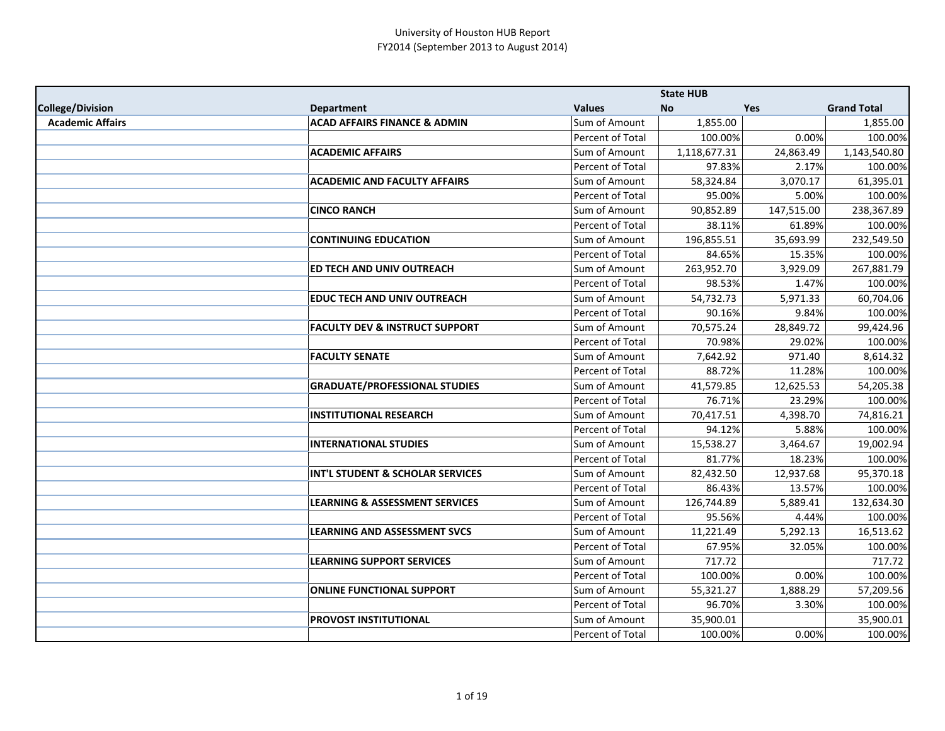|                         |                                           |                  | <b>State HUB</b> |            |                    |
|-------------------------|-------------------------------------------|------------------|------------------|------------|--------------------|
| <b>College/Division</b> | <b>Department</b>                         | <b>Values</b>    | <b>No</b>        | Yes        | <b>Grand Total</b> |
| <b>Academic Affairs</b> | <b>ACAD AFFAIRS FINANCE &amp; ADMIN</b>   | Sum of Amount    | 1,855.00         |            | 1,855.00           |
|                         |                                           | Percent of Total | 100.00%          | 0.00%      | 100.00%            |
|                         | <b>ACADEMIC AFFAIRS</b>                   | Sum of Amount    | 1,118,677.31     | 24,863.49  | 1,143,540.80       |
|                         |                                           | Percent of Total | 97.83%           | 2.17%      | 100.00%            |
|                         | <b>ACADEMIC AND FACULTY AFFAIRS</b>       | Sum of Amount    | 58,324.84        | 3,070.17   | 61,395.01          |
|                         |                                           | Percent of Total | 95.00%           | 5.00%      | 100.00%            |
|                         | <b>CINCO RANCH</b>                        | Sum of Amount    | 90,852.89        | 147,515.00 | 238,367.89         |
|                         |                                           | Percent of Total | 38.11%           | 61.89%     | 100.00%            |
|                         | <b>CONTINUING EDUCATION</b>               | Sum of Amount    | 196,855.51       | 35,693.99  | 232,549.50         |
|                         |                                           | Percent of Total | 84.65%           | 15.35%     | 100.00%            |
|                         | ED TECH AND UNIV OUTREACH                 | Sum of Amount    | 263,952.70       | 3,929.09   | 267,881.79         |
|                         |                                           | Percent of Total | 98.53%           | 1.47%      | 100.00%            |
|                         | <b>EDUC TECH AND UNIV OUTREACH</b>        | Sum of Amount    | 54,732.73        | 5,971.33   | 60,704.06          |
|                         |                                           | Percent of Total | 90.16%           | 9.84%      | 100.00%            |
|                         | <b>FACULTY DEV &amp; INSTRUCT SUPPORT</b> | Sum of Amount    | 70,575.24        | 28,849.72  | 99,424.96          |
|                         |                                           | Percent of Total | 70.98%           | 29.02%     | 100.00%            |
|                         | <b>FACULTY SENATE</b>                     | Sum of Amount    | 7,642.92         | 971.40     | 8,614.32           |
|                         |                                           | Percent of Total | 88.72%           | 11.28%     | 100.00%            |
|                         | <b>GRADUATE/PROFESSIONAL STUDIES</b>      | Sum of Amount    | 41,579.85        | 12,625.53  | 54,205.38          |
|                         |                                           | Percent of Total | 76.71%           | 23.29%     | 100.00%            |
|                         | <b>INSTITUTIONAL RESEARCH</b>             | Sum of Amount    | 70,417.51        | 4,398.70   | 74,816.21          |
|                         |                                           | Percent of Total | 94.12%           | 5.88%      | 100.00%            |
|                         | <b>INTERNATIONAL STUDIES</b>              | Sum of Amount    | 15,538.27        | 3,464.67   | 19,002.94          |
|                         |                                           | Percent of Total | 81.77%           | 18.23%     | 100.00%            |
|                         | INT'L STUDENT & SCHOLAR SERVICES          | Sum of Amount    | 82,432.50        | 12,937.68  | 95,370.18          |
|                         |                                           | Percent of Total | 86.43%           | 13.57%     | 100.00%            |
|                         | <b>LEARNING &amp; ASSESSMENT SERVICES</b> | Sum of Amount    | 126,744.89       | 5,889.41   | 132,634.30         |
|                         |                                           | Percent of Total | 95.56%           | 4.44%      | 100.00%            |
|                         | <b>LEARNING AND ASSESSMENT SVCS</b>       | Sum of Amount    | 11,221.49        | 5,292.13   | 16,513.62          |
|                         |                                           | Percent of Total | 67.95%           | 32.05%     | 100.00%            |
|                         | <b>LEARNING SUPPORT SERVICES</b>          | Sum of Amount    | 717.72           |            | 717.72             |
|                         |                                           | Percent of Total | 100.00%          | 0.00%      | 100.00%            |
|                         | <b>ONLINE FUNCTIONAL SUPPORT</b>          | Sum of Amount    | 55,321.27        | 1,888.29   | 57,209.56          |
|                         |                                           | Percent of Total | 96.70%           | 3.30%      | 100.00%            |
|                         | <b>PROVOST INSTITUTIONAL</b>              | Sum of Amount    | 35,900.01        |            | 35,900.01          |
|                         |                                           | Percent of Total | 100.00%          | 0.00%      | 100.00%            |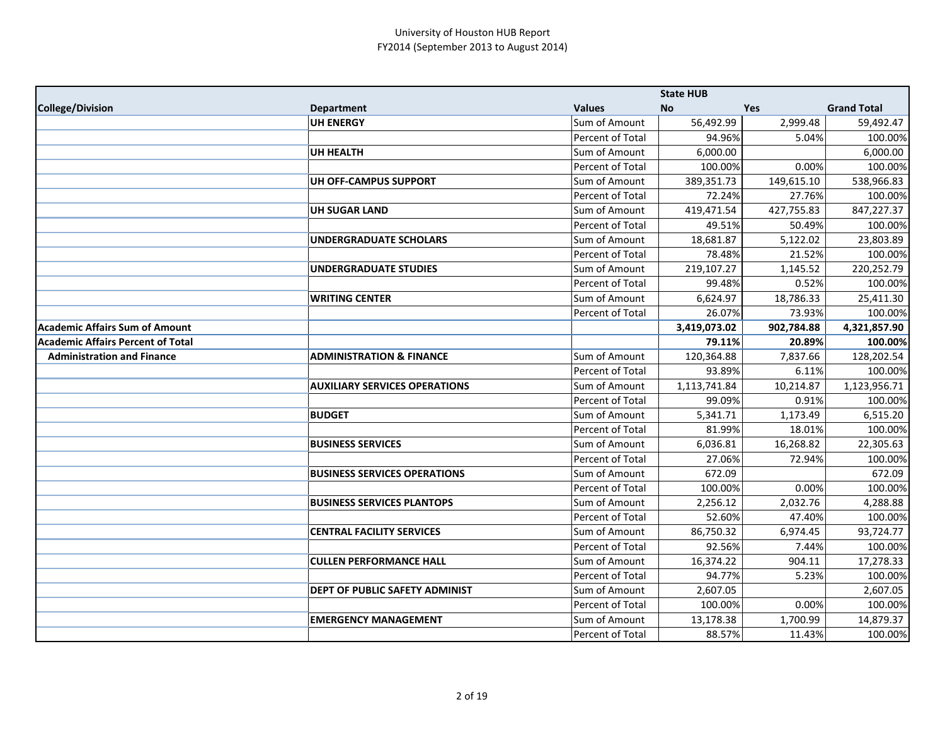|                                          |                                       |                  | <b>State HUB</b> |            |                    |
|------------------------------------------|---------------------------------------|------------------|------------------|------------|--------------------|
| College/Division                         | <b>Department</b>                     | <b>Values</b>    | No               | Yes        | <b>Grand Total</b> |
|                                          | <b>UH ENERGY</b>                      | Sum of Amount    | 56,492.99        | 2,999.48   | 59,492.47          |
|                                          |                                       | Percent of Total | 94.96%           | 5.04%      | 100.00%            |
|                                          | <b>UH HEALTH</b>                      | Sum of Amount    | 6,000.00         |            | 6,000.00           |
|                                          |                                       | Percent of Total | 100.00%          | 0.00%      | 100.00%            |
|                                          | <b>UH OFF-CAMPUS SUPPORT</b>          | Sum of Amount    | 389,351.73       | 149,615.10 | 538,966.83         |
|                                          |                                       | Percent of Total | 72.24%           | 27.76%     | 100.00%            |
|                                          | <b>UH SUGAR LAND</b>                  | Sum of Amount    | 419,471.54       | 427,755.83 | 847,227.37         |
|                                          |                                       | Percent of Total | 49.51%           | 50.49%     | 100.00%            |
|                                          | UNDERGRADUATE SCHOLARS                | Sum of Amount    | 18,681.87        | 5,122.02   | 23,803.89          |
|                                          |                                       | Percent of Total | 78.48%           | 21.52%     | 100.00%            |
|                                          | <b>UNDERGRADUATE STUDIES</b>          | Sum of Amount    | 219,107.27       | 1,145.52   | 220,252.79         |
|                                          |                                       | Percent of Total | 99.48%           | 0.52%      | 100.00%            |
|                                          | <b>WRITING CENTER</b>                 | Sum of Amount    | 6,624.97         | 18,786.33  | 25,411.30          |
|                                          |                                       | Percent of Total | 26.07%           | 73.93%     | 100.00%            |
| Academic Affairs Sum of Amount           |                                       |                  | 3,419,073.02     | 902,784.88 | 4,321,857.90       |
| <b>Academic Affairs Percent of Total</b> |                                       |                  | 79.11%           | 20.89%     | 100.00%            |
| <b>Administration and Finance</b>        | <b>ADMINISTRATION &amp; FINANCE</b>   | Sum of Amount    | 120,364.88       | 7,837.66   | 128,202.54         |
|                                          |                                       | Percent of Total | 93.89%           | 6.11%      | 100.00%            |
|                                          | <b>AUXILIARY SERVICES OPERATIONS</b>  | Sum of Amount    | 1,113,741.84     | 10,214.87  | 1,123,956.71       |
|                                          |                                       | Percent of Total | 99.09%           | 0.91%      | 100.00%            |
|                                          | <b>BUDGET</b>                         | Sum of Amount    | 5,341.71         | 1,173.49   | 6,515.20           |
|                                          |                                       | Percent of Total | 81.99%           | 18.01%     | 100.00%            |
|                                          | <b>BUSINESS SERVICES</b>              | Sum of Amount    | 6,036.81         | 16,268.82  | 22,305.63          |
|                                          |                                       | Percent of Total | 27.06%           | 72.94%     | 100.00%            |
|                                          | <b>BUSINESS SERVICES OPERATIONS</b>   | Sum of Amount    | 672.09           |            | 672.09             |
|                                          |                                       | Percent of Total | 100.00%          | 0.00%      | 100.00%            |
|                                          | <b>BUSINESS SERVICES PLANTOPS</b>     | Sum of Amount    | 2,256.12         | 2,032.76   | 4,288.88           |
|                                          |                                       | Percent of Total | 52.60%           | 47.40%     | 100.00%            |
|                                          | <b>CENTRAL FACILITY SERVICES</b>      | Sum of Amount    | 86,750.32        | 6,974.45   | 93,724.77          |
|                                          |                                       | Percent of Total | 92.56%           | 7.44%      | 100.00%            |
|                                          | <b>CULLEN PERFORMANCE HALL</b>        | Sum of Amount    | 16,374.22        | 904.11     | 17,278.33          |
|                                          |                                       | Percent of Total | 94.77%           | 5.23%      | 100.00%            |
|                                          | <b>DEPT OF PUBLIC SAFETY ADMINIST</b> | Sum of Amount    | 2,607.05         |            | 2,607.05           |
|                                          |                                       | Percent of Total | 100.00%          | 0.00%      | 100.00%            |
|                                          | <b>EMERGENCY MANAGEMENT</b>           | Sum of Amount    | 13,178.38        | 1,700.99   | 14,879.37          |
|                                          |                                       | Percent of Total | 88.57%           | 11.43%     | 100.00%            |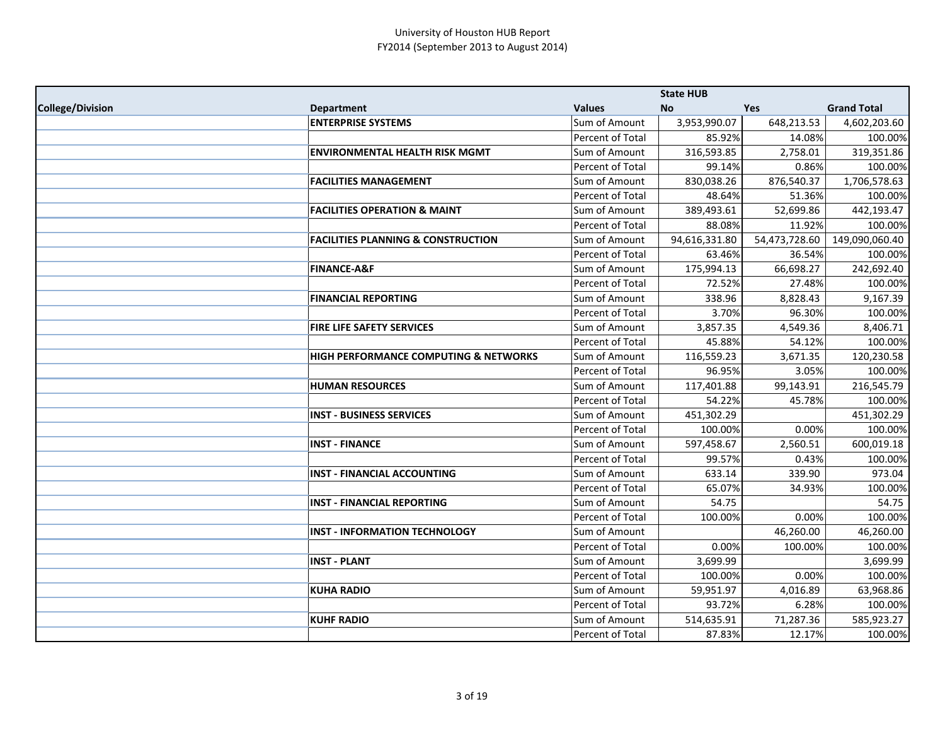|                  |                                               |                      | <b>State HUB</b> |               |                    |
|------------------|-----------------------------------------------|----------------------|------------------|---------------|--------------------|
| College/Division | <b>Department</b>                             | <b>Values</b>        | <b>No</b>        | <b>Yes</b>    | <b>Grand Total</b> |
|                  | <b>ENTERPRISE SYSTEMS</b>                     | Sum of Amount        | 3,953,990.07     | 648,213.53    | 4,602,203.60       |
|                  |                                               | Percent of Total     | 85.92%           | 14.08%        | 100.00%            |
|                  | <b>ENVIRONMENTAL HEALTH RISK MGMT</b>         | Sum of Amount        | 316,593.85       | 2,758.01      | 319,351.86         |
|                  |                                               | Percent of Total     | 99.14%           | 0.86%         | 100.00%            |
|                  | <b>FACILITIES MANAGEMENT</b>                  | Sum of Amount        | 830,038.26       | 876,540.37    | 1,706,578.63       |
|                  |                                               | Percent of Total     | 48.64%           | 51.36%        | 100.00%            |
|                  | <b>FACILITIES OPERATION &amp; MAINT</b>       | <b>Sum of Amount</b> | 389,493.61       | 52,699.86     | 442,193.47         |
|                  |                                               | Percent of Total     | 88.08%           | 11.92%        | 100.00%            |
|                  | <b>FACILITIES PLANNING &amp; CONSTRUCTION</b> | Sum of Amount        | 94,616,331.80    | 54,473,728.60 | 149,090,060.40     |
|                  |                                               | Percent of Total     | 63.46%           | 36.54%        | 100.00%            |
|                  | <b>FINANCE-A&amp;F</b>                        | Sum of Amount        | 175,994.13       | 66,698.27     | 242,692.40         |
|                  |                                               | Percent of Total     | 72.52%           | 27.48%        | 100.00%            |
|                  | <b>FINANCIAL REPORTING</b>                    | Sum of Amount        | 338.96           | 8,828.43      | 9,167.39           |
|                  |                                               | Percent of Total     | 3.70%            | 96.30%        | 100.00%            |
|                  | FIRE LIFE SAFETY SERVICES                     | Sum of Amount        | 3,857.35         | 4,549.36      | 8,406.71           |
|                  |                                               | Percent of Total     | 45.88%           | 54.12%        | 100.00%            |
|                  | HIGH PERFORMANCE COMPUTING & NETWORKS         | Sum of Amount        | 116,559.23       | 3,671.35      | 120,230.58         |
|                  |                                               | Percent of Total     | 96.95%           | 3.05%         | 100.00%            |
|                  | <b>HUMAN RESOURCES</b>                        | Sum of Amount        | 117,401.88       | 99,143.91     | 216,545.79         |
|                  |                                               | Percent of Total     | 54.22%           | 45.78%        | 100.00%            |
|                  | <b>INST - BUSINESS SERVICES</b>               | Sum of Amount        | 451,302.29       |               | 451,302.29         |
|                  |                                               | Percent of Total     | 100.00%          | 0.00%         | 100.00%            |
|                  | <b>INST - FINANCE</b>                         | Sum of Amount        | 597,458.67       | 2,560.51      | 600,019.18         |
|                  |                                               | Percent of Total     | 99.57%           | 0.43%         | 100.00%            |
|                  | <b>INST - FINANCIAL ACCOUNTING</b>            | Sum of Amount        | 633.14           | 339.90        | 973.04             |
|                  |                                               | Percent of Total     | 65.07%           | 34.93%        | 100.00%            |
|                  | <b>INST - FINANCIAL REPORTING</b>             | Sum of Amount        | 54.75            |               | 54.75              |
|                  |                                               | Percent of Total     | 100.00%          | 0.00%         | 100.00%            |
|                  | <b>INST - INFORMATION TECHNOLOGY</b>          | Sum of Amount        |                  | 46,260.00     | 46,260.00          |
|                  |                                               | Percent of Total     | 0.00%            | 100.00%       | 100.00%            |
|                  | <b>INST - PLANT</b>                           | Sum of Amount        | 3,699.99         |               | 3,699.99           |
|                  |                                               | Percent of Total     | 100.00%          | 0.00%         | 100.00%            |
|                  | <b>KUHA RADIO</b>                             | Sum of Amount        | 59,951.97        | 4,016.89      | 63,968.86          |
|                  |                                               | Percent of Total     | 93.72%           | 6.28%         | 100.00%            |
|                  | <b>KUHF RADIO</b>                             | Sum of Amount        | 514,635.91       | 71,287.36     | 585,923.27         |
|                  |                                               | Percent of Total     | 87.83%           | 12.17%        | 100.00%            |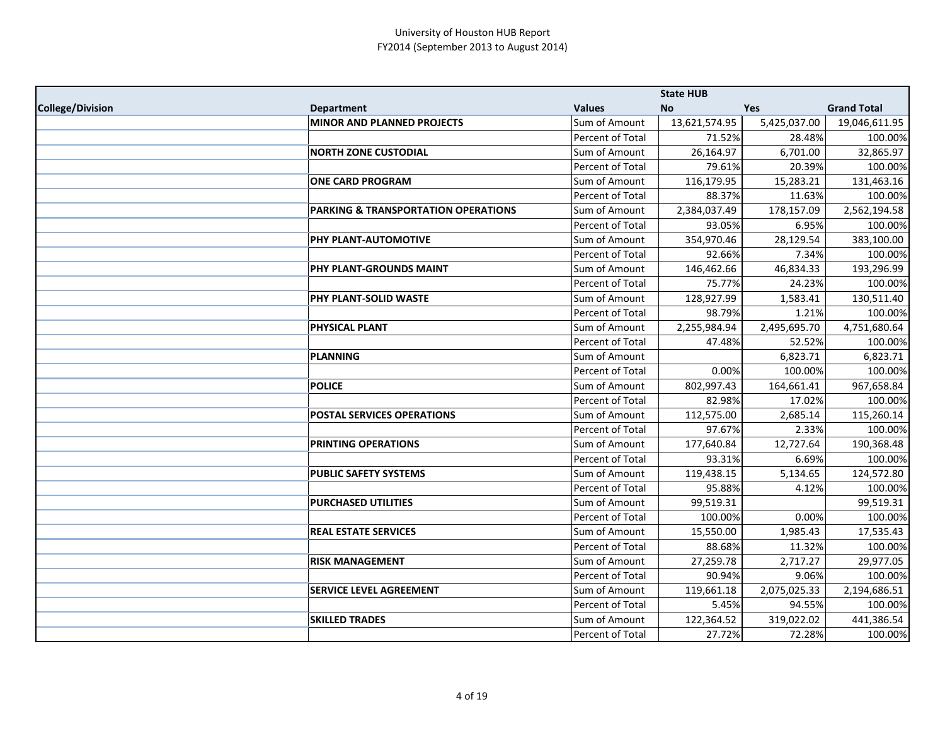|                  |                                                |                  | <b>State HUB</b> |              |                    |
|------------------|------------------------------------------------|------------------|------------------|--------------|--------------------|
| College/Division | <b>Department</b>                              | <b>Values</b>    | <b>No</b>        | <b>Yes</b>   | <b>Grand Total</b> |
|                  | <b>MINOR AND PLANNED PROJECTS</b>              | Sum of Amount    | 13,621,574.95    | 5,425,037.00 | 19,046,611.95      |
|                  |                                                | Percent of Total | 71.52%           | 28.48%       | 100.00%            |
|                  | <b>NORTH ZONE CUSTODIAL</b>                    | Sum of Amount    | 26,164.97        | 6,701.00     | 32,865.97          |
|                  |                                                | Percent of Total | 79.61%           | 20.39%       | 100.00%            |
|                  | <b>ONE CARD PROGRAM</b>                        | Sum of Amount    | 116,179.95       | 15,283.21    | 131,463.16         |
|                  |                                                | Percent of Total | 88.37%           | 11.63%       | 100.00%            |
|                  | <b>PARKING &amp; TRANSPORTATION OPERATIONS</b> | Sum of Amount    | 2,384,037.49     | 178,157.09   | 2,562,194.58       |
|                  |                                                | Percent of Total | 93.05%           | 6.95%        | 100.00%            |
|                  | PHY PLANT-AUTOMOTIVE                           | Sum of Amount    | 354,970.46       | 28,129.54    | 383,100.00         |
|                  |                                                | Percent of Total | 92.66%           | 7.34%        | 100.00%            |
|                  | PHY PLANT-GROUNDS MAINT                        | Sum of Amount    | 146,462.66       | 46,834.33    | 193,296.99         |
|                  |                                                | Percent of Total | 75.77%           | 24.23%       | 100.00%            |
|                  | PHY PLANT-SOLID WASTE                          | Sum of Amount    | 128,927.99       | 1,583.41     | 130,511.40         |
|                  |                                                | Percent of Total | 98.79%           | 1.21%        | 100.00%            |
|                  | <b>PHYSICAL PLANT</b>                          | Sum of Amount    | 2,255,984.94     | 2,495,695.70 | 4,751,680.64       |
|                  |                                                | Percent of Total | 47.48%           | 52.52%       | 100.00%            |
|                  | <b>PLANNING</b>                                | Sum of Amount    |                  | 6,823.71     | 6,823.71           |
|                  |                                                | Percent of Total | 0.00%            | 100.00%      | 100.00%            |
|                  | <b>POLICE</b>                                  | Sum of Amount    | 802,997.43       | 164,661.41   | 967,658.84         |
|                  |                                                | Percent of Total | 82.98%           | 17.02%       | 100.00%            |
|                  | <b>POSTAL SERVICES OPERATIONS</b>              | Sum of Amount    | 112,575.00       | 2,685.14     | 115,260.14         |
|                  |                                                | Percent of Total | 97.67%           | 2.33%        | 100.00%            |
|                  | <b>PRINTING OPERATIONS</b>                     | Sum of Amount    | 177,640.84       | 12,727.64    | 190,368.48         |
|                  |                                                | Percent of Total | 93.31%           | 6.69%        | 100.00%            |
|                  | <b>PUBLIC SAFETY SYSTEMS</b>                   | Sum of Amount    | 119,438.15       | 5,134.65     | 124,572.80         |
|                  |                                                | Percent of Total | 95.88%           | 4.12%        | 100.00%            |
|                  | <b>PURCHASED UTILITIES</b>                     | Sum of Amount    | 99,519.31        |              | 99,519.31          |
|                  |                                                | Percent of Total | 100.00%          | 0.00%        | 100.00%            |
|                  | <b>REAL ESTATE SERVICES</b>                    | Sum of Amount    | 15,550.00        | 1,985.43     | 17,535.43          |
|                  |                                                | Percent of Total | 88.68%           | 11.32%       | 100.00%            |
|                  | <b>RISK MANAGEMENT</b>                         | Sum of Amount    | 27,259.78        | 2,717.27     | 29,977.05          |
|                  |                                                | Percent of Total | 90.94%           | 9.06%        | 100.00%            |
|                  | <b>SERVICE LEVEL AGREEMENT</b>                 | Sum of Amount    | 119,661.18       | 2,075,025.33 | 2,194,686.51       |
|                  |                                                | Percent of Total | 5.45%            | 94.55%       | 100.00%            |
|                  | <b>SKILLED TRADES</b>                          | Sum of Amount    | 122,364.52       | 319,022.02   | 441,386.54         |
|                  |                                                | Percent of Total | 27.72%           | 72.28%       | 100.00%            |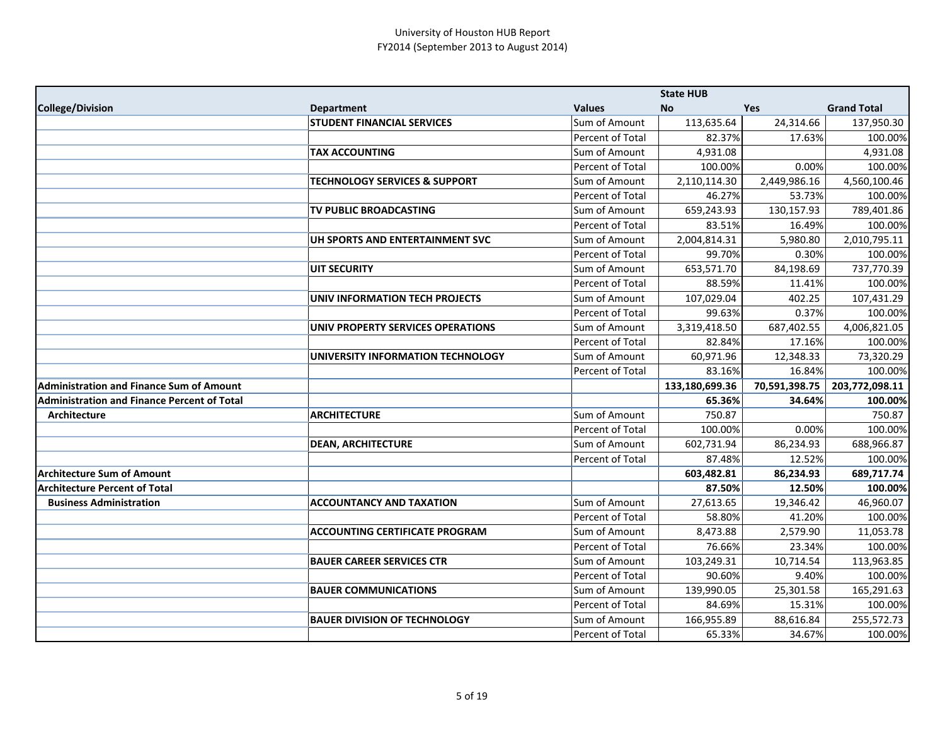|                                                    |                                          |                  | <b>State HUB</b> |               |                    |
|----------------------------------------------------|------------------------------------------|------------------|------------------|---------------|--------------------|
| College/Division                                   | <b>Department</b>                        | <b>Values</b>    | <b>No</b>        | <b>Yes</b>    | <b>Grand Total</b> |
|                                                    | <b>STUDENT FINANCIAL SERVICES</b>        | Sum of Amount    | 113,635.64       | 24,314.66     | 137,950.30         |
|                                                    |                                          | Percent of Total | 82.37%           | 17.63%        | 100.00%            |
|                                                    | <b>TAX ACCOUNTING</b>                    | Sum of Amount    | 4,931.08         |               | 4,931.08           |
|                                                    |                                          | Percent of Total | 100.00%          | 0.00%         | 100.00%            |
|                                                    | <b>TECHNOLOGY SERVICES &amp; SUPPORT</b> | Sum of Amount    | 2,110,114.30     | 2,449,986.16  | 4,560,100.46       |
|                                                    |                                          | Percent of Total | 46.27%           | 53.73%        | 100.00%            |
|                                                    | <b>TV PUBLIC BROADCASTING</b>            | Sum of Amount    | 659,243.93       | 130,157.93    | 789,401.86         |
|                                                    |                                          | Percent of Total | 83.51%           | 16.49%        | 100.00%            |
|                                                    | UH SPORTS AND ENTERTAINMENT SVC          | Sum of Amount    | 2,004,814.31     | 5,980.80      | 2,010,795.11       |
|                                                    |                                          | Percent of Total | 99.70%           | 0.30%         | 100.00%            |
|                                                    | <b>UIT SECURITY</b>                      | Sum of Amount    | 653,571.70       | 84,198.69     | 737,770.39         |
|                                                    |                                          | Percent of Total | 88.59%           | 11.41%        | 100.00%            |
|                                                    | UNIV INFORMATION TECH PROJECTS           | Sum of Amount    | 107,029.04       | 402.25        | 107,431.29         |
|                                                    |                                          | Percent of Total | 99.63%           | 0.37%         | 100.00%            |
|                                                    | UNIV PROPERTY SERVICES OPERATIONS        | Sum of Amount    | 3,319,418.50     | 687,402.55    | 4,006,821.05       |
|                                                    |                                          | Percent of Total | 82.84%           | 17.16%        | 100.00%            |
|                                                    | UNIVERSITY INFORMATION TECHNOLOGY        | Sum of Amount    | 60,971.96        | 12,348.33     | 73,320.29          |
|                                                    |                                          | Percent of Total | 83.16%           | 16.84%        | 100.00%            |
| <b>Administration and Finance Sum of Amount</b>    |                                          |                  | 133,180,699.36   | 70,591,398.75 | 203,772,098.11     |
| <b>Administration and Finance Percent of Total</b> |                                          |                  | 65.36%           | 34.64%        | 100.00%            |
| Architecture                                       | <b>ARCHITECTURE</b>                      | Sum of Amount    | 750.87           |               | 750.87             |
|                                                    |                                          | Percent of Total | 100.00%          | 0.00%         | 100.00%            |
|                                                    | <b>DEAN, ARCHITECTURE</b>                | Sum of Amount    | 602,731.94       | 86,234.93     | 688,966.87         |
|                                                    |                                          | Percent of Total | 87.48%           | 12.52%        | 100.00%            |
| <b>Architecture Sum of Amount</b>                  |                                          |                  | 603,482.81       | 86,234.93     | 689,717.74         |
| <b>Architecture Percent of Total</b>               |                                          |                  | 87.50%           | 12.50%        | 100.00%            |
| <b>Business Administration</b>                     | <b>ACCOUNTANCY AND TAXATION</b>          | Sum of Amount    | 27,613.65        | 19,346.42     | 46,960.07          |
|                                                    |                                          | Percent of Total | 58.80%           | 41.20%        | 100.00%            |
|                                                    | <b>ACCOUNTING CERTIFICATE PROGRAM</b>    | Sum of Amount    | 8,473.88         | 2,579.90      | 11,053.78          |
|                                                    |                                          | Percent of Total | 76.66%           | 23.34%        | 100.00%            |
|                                                    | <b>BAUER CAREER SERVICES CTR</b>         | Sum of Amount    | 103,249.31       | 10,714.54     | 113,963.85         |
|                                                    |                                          | Percent of Total | 90.60%           | 9.40%         | 100.00%            |
|                                                    | <b>BAUER COMMUNICATIONS</b>              | Sum of Amount    | 139,990.05       | 25,301.58     | 165,291.63         |
|                                                    |                                          | Percent of Total | 84.69%           | 15.31%        | 100.00%            |
|                                                    | <b>BAUER DIVISION OF TECHNOLOGY</b>      | Sum of Amount    | 166,955.89       | 88,616.84     | 255,572.73         |
|                                                    |                                          | Percent of Total | 65.33%           | 34.67%        | 100.00%            |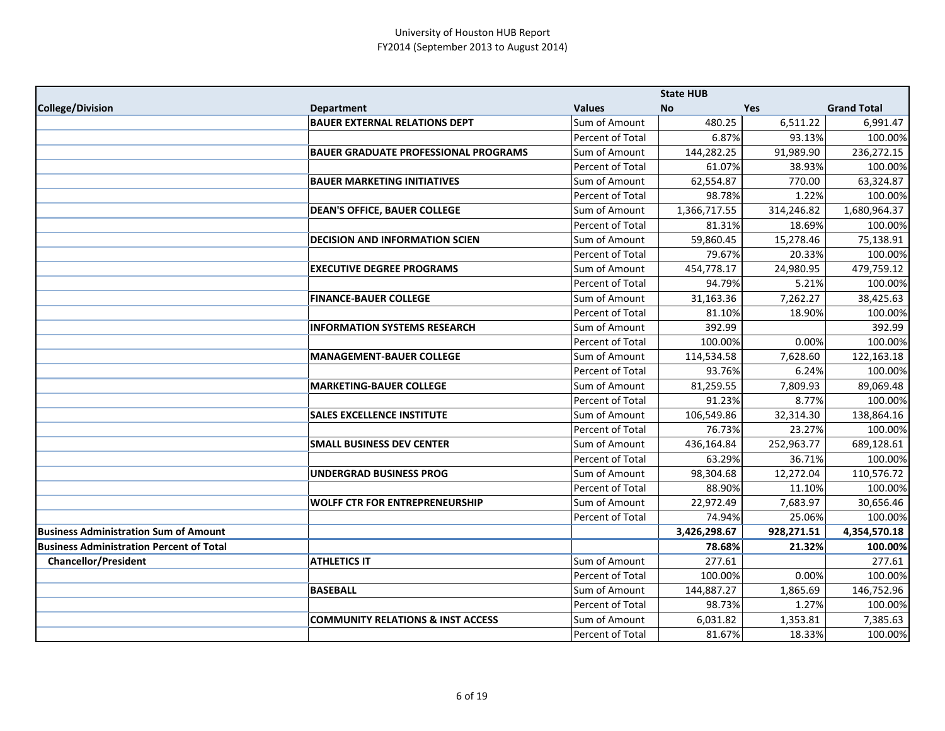|                                                 |                                              |                      | <b>State HUB</b> |            |                    |
|-------------------------------------------------|----------------------------------------------|----------------------|------------------|------------|--------------------|
| College/Division                                | <b>Department</b>                            | <b>Values</b>        | <b>No</b>        | Yes        | <b>Grand Total</b> |
|                                                 | <b>BAUER EXTERNAL RELATIONS DEPT</b>         | Sum of Amount        | 480.25           | 6,511.22   | 6,991.47           |
|                                                 |                                              | Percent of Total     | 6.87%            | 93.13%     | 100.00%            |
|                                                 | <b>BAUER GRADUATE PROFESSIONAL PROGRAMS</b>  | Sum of Amount        | 144,282.25       | 91,989.90  | 236,272.15         |
|                                                 |                                              | Percent of Total     | 61.07%           | 38.93%     | 100.00%            |
|                                                 | <b>BAUER MARKETING INITIATIVES</b>           | Sum of Amount        | 62,554.87        | 770.00     | 63,324.87          |
|                                                 |                                              | Percent of Total     | 98.78%           | 1.22%      | 100.00%            |
|                                                 | <b>DEAN'S OFFICE, BAUER COLLEGE</b>          | Sum of Amount        | 1,366,717.55     | 314,246.82 | 1,680,964.37       |
|                                                 |                                              | Percent of Total     | 81.31%           | 18.69%     | 100.00%            |
|                                                 | <b>DECISION AND INFORMATION SCIEN</b>        | Sum of Amount        | 59,860.45        | 15,278.46  | 75,138.91          |
|                                                 |                                              | Percent of Total     | 79.67%           | 20.33%     | 100.00%            |
|                                                 | <b>EXECUTIVE DEGREE PROGRAMS</b>             | Sum of Amount        | 454,778.17       | 24,980.95  | 479,759.12         |
|                                                 |                                              | Percent of Total     | 94.79%           | 5.21%      | 100.00%            |
|                                                 | <b>FINANCE-BAUER COLLEGE</b>                 | Sum of Amount        | 31,163.36        | 7,262.27   | 38,425.63          |
|                                                 |                                              | Percent of Total     | 81.10%           | 18.90%     | 100.00%            |
|                                                 | <b>INFORMATION SYSTEMS RESEARCH</b>          | Sum of Amount        | 392.99           |            | 392.99             |
|                                                 |                                              | Percent of Total     | 100.00%          | 0.00%      | 100.00%            |
|                                                 | <b>MANAGEMENT-BAUER COLLEGE</b>              | Sum of Amount        | 114,534.58       | 7,628.60   | 122,163.18         |
|                                                 |                                              | Percent of Total     | 93.76%           | 6.24%      | 100.00%            |
|                                                 | <b>MARKETING-BAUER COLLEGE</b>               | Sum of Amount        | 81,259.55        | 7,809.93   | 89,069.48          |
|                                                 |                                              | Percent of Total     | 91.23%           | 8.77%      | 100.00%            |
|                                                 | <b>SALES EXCELLENCE INSTITUTE</b>            | Sum of Amount        | 106,549.86       | 32,314.30  | 138,864.16         |
|                                                 |                                              | Percent of Total     | 76.73%           | 23.27%     | 100.00%            |
|                                                 | <b>SMALL BUSINESS DEV CENTER</b>             | Sum of Amount        | 436,164.84       | 252,963.77 | 689,128.61         |
|                                                 |                                              | Percent of Total     | 63.29%           | 36.71%     | 100.00%            |
|                                                 | <b>UNDERGRAD BUSINESS PROG</b>               | Sum of Amount        | 98,304.68        | 12,272.04  | 110,576.72         |
|                                                 |                                              | Percent of Total     | 88.90%           | 11.10%     | 100.00%            |
|                                                 | <b>WOLFF CTR FOR ENTREPRENEURSHIP</b>        | <b>Sum of Amount</b> | 22,972.49        | 7,683.97   | 30,656.46          |
|                                                 |                                              | Percent of Total     | 74.94%           | 25.06%     | 100.00%            |
| <b>Business Administration Sum of Amount</b>    |                                              |                      | 3,426,298.67     | 928,271.51 | 4,354,570.18       |
| <b>Business Administration Percent of Total</b> |                                              |                      | 78.68%           | 21.32%     | 100.00%            |
| <b>Chancellor/President</b>                     | <b>ATHLETICS IT</b>                          | Sum of Amount        | 277.61           |            | 277.61             |
|                                                 |                                              | Percent of Total     | 100.00%          | 0.00%      | 100.00%            |
|                                                 | <b>BASEBALL</b>                              | Sum of Amount        | 144,887.27       | 1,865.69   | 146,752.96         |
|                                                 |                                              | Percent of Total     | 98.73%           | 1.27%      | 100.00%            |
|                                                 | <b>COMMUNITY RELATIONS &amp; INST ACCESS</b> | Sum of Amount        | 6,031.82         | 1,353.81   | 7,385.63           |
|                                                 |                                              | Percent of Total     | 81.67%           | 18.33%     | 100.00%            |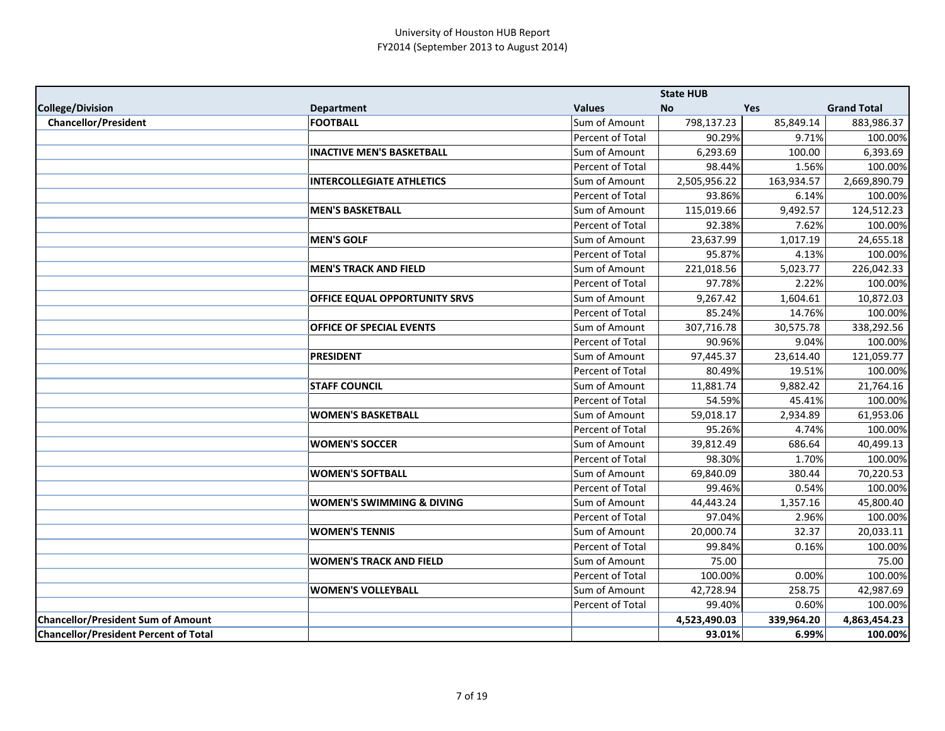|                                              |                                      |                  | <b>State HUB</b> |            |                    |
|----------------------------------------------|--------------------------------------|------------------|------------------|------------|--------------------|
| College/Division                             | <b>Department</b>                    | <b>Values</b>    | <b>No</b>        | <b>Yes</b> | <b>Grand Total</b> |
| <b>Chancellor/President</b>                  | <b>FOOTBALL</b>                      | Sum of Amount    | 798,137.23       | 85,849.14  | 883,986.37         |
|                                              |                                      | Percent of Total | 90.29%           | 9.71%      | 100.00%            |
|                                              | <b>INACTIVE MEN'S BASKETBALL</b>     | Sum of Amount    | 6,293.69         | 100.00     | 6,393.69           |
|                                              |                                      | Percent of Total | 98.44%           | 1.56%      | 100.00%            |
|                                              | <b>INTERCOLLEGIATE ATHLETICS</b>     | Sum of Amount    | 2,505,956.22     | 163,934.57 | 2,669,890.79       |
|                                              |                                      | Percent of Total | 93.86%           | 6.14%      | 100.00%            |
|                                              | <b>MEN'S BASKETBALL</b>              | Sum of Amount    | 115,019.66       | 9,492.57   | 124,512.23         |
|                                              |                                      | Percent of Total | 92.38%           | 7.62%      | 100.00%            |
|                                              | <b>MEN'S GOLF</b>                    | Sum of Amount    | 23,637.99        | 1,017.19   | 24,655.18          |
|                                              |                                      | Percent of Total | 95.87%           | 4.13%      | 100.00%            |
|                                              | <b>MEN'S TRACK AND FIELD</b>         | Sum of Amount    | 221,018.56       | 5,023.77   | 226,042.33         |
|                                              |                                      | Percent of Total | 97.78%           | 2.22%      | 100.00%            |
|                                              | OFFICE EQUAL OPPORTUNITY SRVS        | Sum of Amount    | 9,267.42         | 1,604.61   | 10,872.03          |
|                                              |                                      | Percent of Total | 85.24%           | 14.76%     | 100.00%            |
|                                              | <b>OFFICE OF SPECIAL EVENTS</b>      | Sum of Amount    | 307,716.78       | 30,575.78  | 338,292.56         |
|                                              |                                      | Percent of Total | 90.96%           | 9.04%      | 100.00%            |
|                                              | <b>PRESIDENT</b>                     | Sum of Amount    | 97,445.37        | 23,614.40  | 121,059.77         |
|                                              |                                      | Percent of Total | 80.49%           | 19.51%     | 100.00%            |
|                                              | <b>STAFF COUNCIL</b>                 | Sum of Amount    | 11,881.74        | 9,882.42   | 21,764.16          |
|                                              |                                      | Percent of Total | 54.59%           | 45.41%     | 100.00%            |
|                                              | <b>WOMEN'S BASKETBALL</b>            | Sum of Amount    | 59,018.17        | 2,934.89   | 61,953.06          |
|                                              |                                      | Percent of Total | 95.26%           | 4.74%      | 100.00%            |
|                                              | <b>WOMEN'S SOCCER</b>                | Sum of Amount    | 39,812.49        | 686.64     | 40,499.13          |
|                                              |                                      | Percent of Total | 98.30%           | 1.70%      | 100.00%            |
|                                              | <b>WOMEN'S SOFTBALL</b>              | Sum of Amount    | 69,840.09        | 380.44     | 70,220.53          |
|                                              |                                      | Percent of Total | 99.46%           | 0.54%      | 100.00%            |
|                                              | <b>WOMEN'S SWIMMING &amp; DIVING</b> | Sum of Amount    | 44,443.24        | 1,357.16   | 45,800.40          |
|                                              |                                      | Percent of Total | 97.04%           | 2.96%      | 100.00%            |
|                                              | <b>WOMEN'S TENNIS</b>                | Sum of Amount    | 20,000.74        | 32.37      | 20,033.11          |
|                                              |                                      | Percent of Total | 99.84%           | 0.16%      | 100.00%            |
|                                              | <b>WOMEN'S TRACK AND FIELD</b>       | Sum of Amount    | 75.00            |            | 75.00              |
|                                              |                                      | Percent of Total | 100.00%          | 0.00%      | 100.00%            |
|                                              | <b>WOMEN'S VOLLEYBALL</b>            | Sum of Amount    | 42,728.94        | 258.75     | 42,987.69          |
|                                              |                                      | Percent of Total | 99.40%           | 0.60%      | 100.00%            |
| <b>Chancellor/President Sum of Amount</b>    |                                      |                  | 4,523,490.03     | 339,964.20 | 4,863,454.23       |
| <b>Chancellor/President Percent of Total</b> |                                      |                  | 93.01%           | 6.99%      | 100.00%            |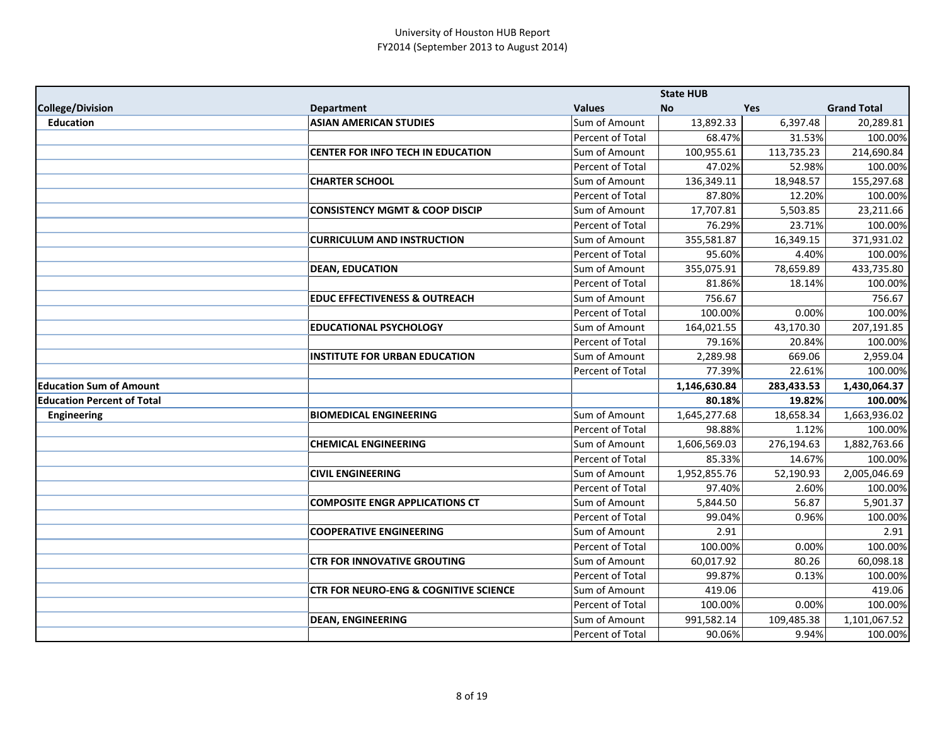|                                   |                                                  |                  | <b>State HUB</b> |            |                    |
|-----------------------------------|--------------------------------------------------|------------------|------------------|------------|--------------------|
| <b>College/Division</b>           | <b>Department</b>                                | <b>Values</b>    | <b>No</b>        | Yes        | <b>Grand Total</b> |
| <b>Education</b>                  | <b>ASIAN AMERICAN STUDIES</b>                    | Sum of Amount    | 13,892.33        | 6,397.48   | 20,289.81          |
|                                   |                                                  | Percent of Total | 68.47%           | 31.53%     | 100.00%            |
|                                   | <b>CENTER FOR INFO TECH IN EDUCATION</b>         | Sum of Amount    | 100,955.61       | 113,735.23 | 214,690.84         |
|                                   |                                                  | Percent of Total | 47.02%           | 52.98%     | 100.00%            |
|                                   | <b>CHARTER SCHOOL</b>                            | Sum of Amount    | 136,349.11       | 18,948.57  | 155,297.68         |
|                                   |                                                  | Percent of Total | 87.80%           | 12.20%     | 100.00%            |
|                                   | <b>CONSISTENCY MGMT &amp; COOP DISCIP</b>        | Sum of Amount    | 17,707.81        | 5,503.85   | 23,211.66          |
|                                   |                                                  | Percent of Total | 76.29%           | 23.71%     | 100.00%            |
|                                   | <b>CURRICULUM AND INSTRUCTION</b>                | Sum of Amount    | 355,581.87       | 16,349.15  | 371,931.02         |
|                                   |                                                  | Percent of Total | 95.60%           | 4.40%      | 100.00%            |
|                                   | <b>DEAN, EDUCATION</b>                           | Sum of Amount    | 355,075.91       | 78,659.89  | 433,735.80         |
|                                   |                                                  | Percent of Total | 81.86%           | 18.14%     | 100.00%            |
|                                   | <b>EDUC EFFECTIVENESS &amp; OUTREACH</b>         | Sum of Amount    | 756.67           |            | 756.67             |
|                                   |                                                  | Percent of Total | 100.00%          | 0.00%      | 100.00%            |
|                                   | <b>EDUCATIONAL PSYCHOLOGY</b>                    | Sum of Amount    | 164,021.55       | 43,170.30  | 207,191.85         |
|                                   |                                                  | Percent of Total | 79.16%           | 20.84%     | 100.00%            |
|                                   | <b>INSTITUTE FOR URBAN EDUCATION</b>             | Sum of Amount    | 2,289.98         | 669.06     | 2,959.04           |
|                                   |                                                  | Percent of Total | 77.39%           | 22.61%     | 100.00%            |
| <b>Education Sum of Amount</b>    |                                                  |                  | 1,146,630.84     | 283,433.53 | 1,430,064.37       |
| <b>Education Percent of Total</b> |                                                  |                  | 80.18%           | 19.82%     | 100.00%            |
| <b>Engineering</b>                | <b>BIOMEDICAL ENGINEERING</b>                    | Sum of Amount    | 1,645,277.68     | 18,658.34  | 1,663,936.02       |
|                                   |                                                  | Percent of Total | 98.88%           | 1.12%      | 100.00%            |
|                                   | <b>CHEMICAL ENGINEERING</b>                      | Sum of Amount    | 1,606,569.03     | 276,194.63 | 1,882,763.66       |
|                                   |                                                  | Percent of Total | 85.33%           | 14.67%     | 100.00%            |
|                                   | <b>CIVIL ENGINEERING</b>                         | Sum of Amount    | 1,952,855.76     | 52,190.93  | 2,005,046.69       |
|                                   |                                                  | Percent of Total | 97.40%           | 2.60%      | 100.00%            |
|                                   | <b>COMPOSITE ENGR APPLICATIONS CT</b>            | Sum of Amount    | 5,844.50         | 56.87      | 5,901.37           |
|                                   |                                                  | Percent of Total | 99.04%           | 0.96%      | 100.00%            |
|                                   | <b>COOPERATIVE ENGINEERING</b>                   | Sum of Amount    | 2.91             |            | 2.91               |
|                                   |                                                  | Percent of Total | 100.00%          | 0.00%      | 100.00%            |
|                                   | <b>CTR FOR INNOVATIVE GROUTING</b>               | Sum of Amount    | 60,017.92        | 80.26      | 60,098.18          |
|                                   |                                                  | Percent of Total | 99.87%           | 0.13%      | 100.00%            |
|                                   | <b>CTR FOR NEURO-ENG &amp; COGNITIVE SCIENCE</b> | Sum of Amount    | 419.06           |            | 419.06             |
|                                   |                                                  | Percent of Total | 100.00%          | 0.00%      | 100.00%            |
|                                   | <b>DEAN, ENGINEERING</b>                         | Sum of Amount    | 991,582.14       | 109,485.38 | 1,101,067.52       |
|                                   |                                                  | Percent of Total | 90.06%           | 9.94%      | 100.00%            |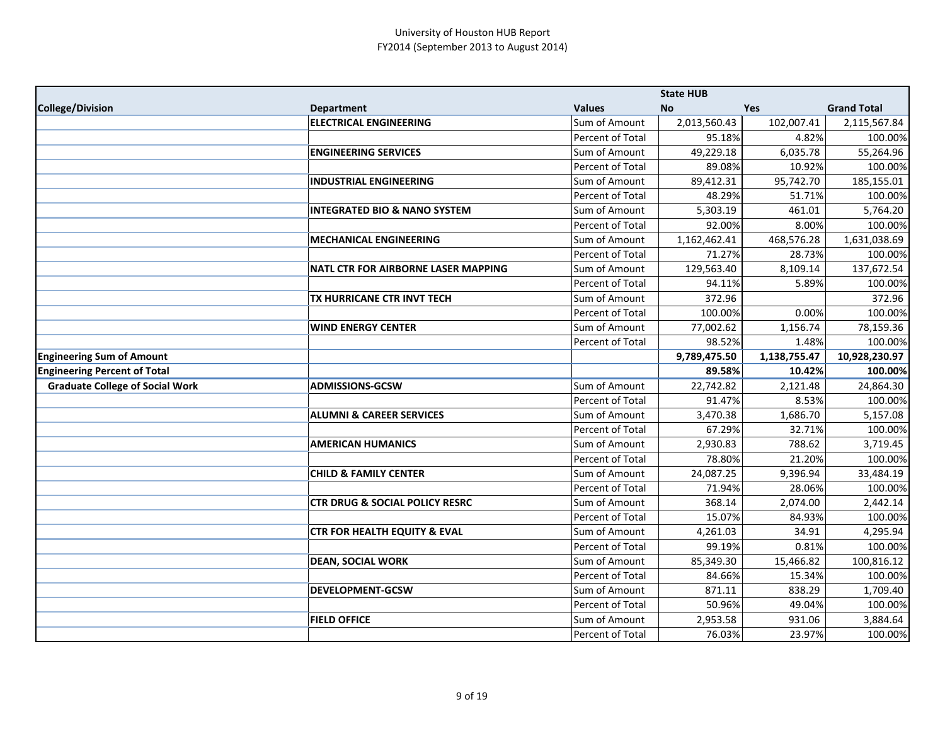|                                        |                                            |                                   | <b>State HUB</b>   |                  |                     |
|----------------------------------------|--------------------------------------------|-----------------------------------|--------------------|------------------|---------------------|
| College/Division                       | <b>Department</b>                          | <b>Values</b>                     | <b>No</b>          | Yes              | <b>Grand Total</b>  |
|                                        | <b>ELECTRICAL ENGINEERING</b>              | Sum of Amount                     | 2,013,560.43       | 102,007.41       | 2,115,567.84        |
|                                        |                                            | Percent of Total                  | 95.18%             | 4.82%            | 100.00%             |
|                                        | <b>ENGINEERING SERVICES</b>                | Sum of Amount                     | 49,229.18          | 6,035.78         | 55,264.96           |
|                                        |                                            | Percent of Total                  | 89.08%             | 10.92%           | 100.00%             |
|                                        | <b>INDUSTRIAL ENGINEERING</b>              | Sum of Amount                     | 89,412.31          | 95,742.70        | 185,155.01          |
|                                        |                                            | Percent of Total                  | 48.29%             | 51.71%           | 100.00%             |
|                                        | <b>INTEGRATED BIO &amp; NANO SYSTEM</b>    | Sum of Amount                     | 5,303.19           | 461.01           | 5,764.20            |
|                                        |                                            | Percent of Total                  | 92.00%             | 8.00%            | 100.00%             |
|                                        | <b>MECHANICAL ENGINEERING</b>              | Sum of Amount                     | 1,162,462.41       | 468,576.28       | 1,631,038.69        |
|                                        |                                            | Percent of Total                  | 71.27%             | 28.73%           | 100.00%             |
|                                        | <b>NATL CTR FOR AIRBORNE LASER MAPPING</b> | Sum of Amount                     | 129,563.40         | 8,109.14         | 137,672.54          |
|                                        |                                            | Percent of Total                  | 94.11%             | 5.89%            | 100.00%             |
|                                        | TX HURRICANE CTR INVT TECH                 | Sum of Amount                     | 372.96             |                  | 372.96              |
|                                        |                                            | Percent of Total                  | 100.00%            | 0.00%            | 100.00%             |
|                                        | <b>WIND ENERGY CENTER</b>                  | Sum of Amount                     | 77,002.62          | 1,156.74         | 78,159.36           |
|                                        |                                            | Percent of Total                  | 98.52%             | 1.48%            | 100.00%             |
| <b>Engineering Sum of Amount</b>       |                                            |                                   | 9,789,475.50       | 1,138,755.47     | 10,928,230.97       |
| <b>Engineering Percent of Total</b>    |                                            |                                   | 89.58%             | 10.42%           | 100.00%             |
|                                        |                                            |                                   |                    |                  |                     |
| <b>Graduate College of Social Work</b> | <b>ADMISSIONS-GCSW</b>                     | Sum of Amount                     | 22,742.82          | 2,121.48         | 24,864.30           |
|                                        |                                            | Percent of Total                  | 91.47%             | 8.53%            | 100.00%             |
|                                        | <b>ALUMNI &amp; CAREER SERVICES</b>        | Sum of Amount                     | 3,470.38           | 1,686.70         | 5,157.08            |
|                                        |                                            | Percent of Total                  | 67.29%             | 32.71%           | 100.00%             |
|                                        | <b>AMERICAN HUMANICS</b>                   | Sum of Amount                     | 2,930.83           | 788.62           | 3,719.45            |
|                                        |                                            | Percent of Total                  | 78.80%             | 21.20%           | 100.00%             |
|                                        | <b>CHILD &amp; FAMILY CENTER</b>           | Sum of Amount                     | 24,087.25          | 9,396.94         | 33,484.19           |
|                                        |                                            | Percent of Total                  | 71.94%             | 28.06%           | 100.00%             |
|                                        | <b>CTR DRUG &amp; SOCIAL POLICY RESRC</b>  | Sum of Amount                     | 368.14             | 2,074.00         | 2,442.14            |
|                                        |                                            | Percent of Total                  | 15.07%             | 84.93%           | 100.00%             |
|                                        | <b>CTR FOR HEALTH EQUITY &amp; EVAL</b>    | Sum of Amount                     | 4,261.03           | 34.91            | 4,295.94            |
|                                        |                                            | Percent of Total                  | 99.19%             | 0.81%            | 100.00%             |
|                                        | <b>DEAN, SOCIAL WORK</b>                   | Sum of Amount                     | 85,349.30          | 15,466.82        | 100,816.12          |
|                                        |                                            | Percent of Total                  | 84.66%             | 15.34%           | 100.00%             |
|                                        | <b>DEVELOPMENT-GCSW</b>                    | Sum of Amount                     | 871.11             | 838.29           | 1,709.40            |
|                                        |                                            | Percent of Total                  | 50.96%             | 49.04%           | 100.00%             |
|                                        | <b>FIELD OFFICE</b>                        | Sum of Amount<br>Percent of Total | 2,953.58<br>76.03% | 931.06<br>23.97% | 3,884.64<br>100.00% |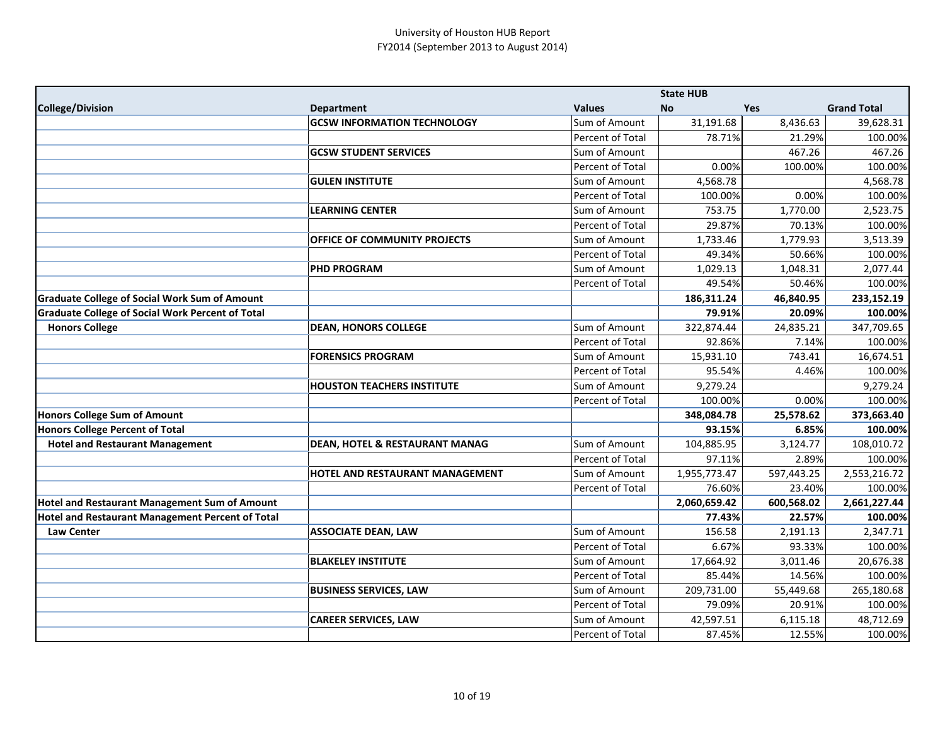|                                                         |                                           |                  | <b>State HUB</b> |            |                    |
|---------------------------------------------------------|-------------------------------------------|------------------|------------------|------------|--------------------|
| <b>College/Division</b>                                 | <b>Department</b>                         | <b>Values</b>    | <b>No</b>        | Yes        | <b>Grand Total</b> |
|                                                         | <b>GCSW INFORMATION TECHNOLOGY</b>        | Sum of Amount    | 31,191.68        | 8,436.63   | 39,628.31          |
|                                                         |                                           | Percent of Total | 78.71%           | 21.29%     | 100.00%            |
|                                                         | <b>GCSW STUDENT SERVICES</b>              | Sum of Amount    |                  | 467.26     | 467.26             |
|                                                         |                                           | Percent of Total | 0.00%            | 100.00%    | 100.00%            |
|                                                         | <b>GULEN INSTITUTE</b>                    | Sum of Amount    | 4,568.78         |            | 4,568.78           |
|                                                         |                                           | Percent of Total | 100.00%          | 0.00%      | 100.00%            |
|                                                         | <b>LEARNING CENTER</b>                    | Sum of Amount    | 753.75           | 1,770.00   | 2,523.75           |
|                                                         |                                           | Percent of Total | 29.87%           | 70.13%     | 100.00%            |
|                                                         | OFFICE OF COMMUNITY PROJECTS              | Sum of Amount    | 1,733.46         | 1,779.93   | 3,513.39           |
|                                                         |                                           | Percent of Total | 49.34%           | 50.66%     | 100.00%            |
|                                                         | <b>PHD PROGRAM</b>                        | Sum of Amount    | 1,029.13         | 1,048.31   | 2,077.44           |
|                                                         |                                           | Percent of Total | 49.54%           | 50.46%     | 100.00%            |
| <b>Graduate College of Social Work Sum of Amount</b>    |                                           |                  | 186,311.24       | 46,840.95  | 233,152.19         |
| <b>Graduate College of Social Work Percent of Total</b> |                                           |                  | 79.91%           | 20.09%     | 100.00%            |
| <b>Honors College</b>                                   | <b>DEAN, HONORS COLLEGE</b>               | Sum of Amount    | 322,874.44       | 24,835.21  | 347,709.65         |
|                                                         |                                           | Percent of Total | 92.86%           | 7.14%      | 100.00%            |
|                                                         | <b>FORENSICS PROGRAM</b>                  | Sum of Amount    | 15,931.10        | 743.41     | 16,674.51          |
|                                                         |                                           | Percent of Total | 95.54%           | 4.46%      | 100.00%            |
|                                                         | <b>HOUSTON TEACHERS INSTITUTE</b>         | Sum of Amount    | 9,279.24         |            | 9,279.24           |
|                                                         |                                           | Percent of Total | 100.00%          | 0.00%      | 100.00%            |
| Honors College Sum of Amount                            |                                           |                  | 348,084.78       | 25,578.62  | 373,663.40         |
| Honors College Percent of Total                         |                                           |                  | 93.15%           | 6.85%      | 100.00%            |
| <b>Hotel and Restaurant Management</b>                  | <b>DEAN, HOTEL &amp; RESTAURANT MANAG</b> | Sum of Amount    | 104,885.95       | 3,124.77   | 108,010.72         |
|                                                         |                                           | Percent of Total | 97.11%           | 2.89%      | 100.00%            |
|                                                         | HOTEL AND RESTAURANT MANAGEMENT           | Sum of Amount    | 1,955,773.47     | 597,443.25 | 2,553,216.72       |
|                                                         |                                           | Percent of Total | 76.60%           | 23.40%     | 100.00%            |
| <b>Hotel and Restaurant Management Sum of Amount</b>    |                                           |                  | 2,060,659.42     | 600,568.02 | 2,661,227.44       |
| <b>Hotel and Restaurant Management Percent of Total</b> |                                           |                  | 77.43%           | 22.57%     | 100.00%            |
| <b>Law Center</b>                                       | <b>ASSOCIATE DEAN, LAW</b>                | Sum of Amount    | 156.58           | 2,191.13   | 2,347.71           |
|                                                         |                                           | Percent of Total | 6.67%            | 93.33%     | 100.00%            |
|                                                         | <b>BLAKELEY INSTITUTE</b>                 | Sum of Amount    | 17,664.92        | 3,011.46   | 20,676.38          |
|                                                         |                                           | Percent of Total | 85.44%           | 14.56%     | 100.00%            |
|                                                         | <b>BUSINESS SERVICES, LAW</b>             | Sum of Amount    | 209,731.00       | 55,449.68  | 265,180.68         |
|                                                         |                                           | Percent of Total | 79.09%           | 20.91%     | 100.00%            |
|                                                         | <b>CAREER SERVICES, LAW</b>               | Sum of Amount    | 42,597.51        | 6,115.18   | 48,712.69          |
|                                                         |                                           | Percent of Total | 87.45%           | 12.55%     | 100.00%            |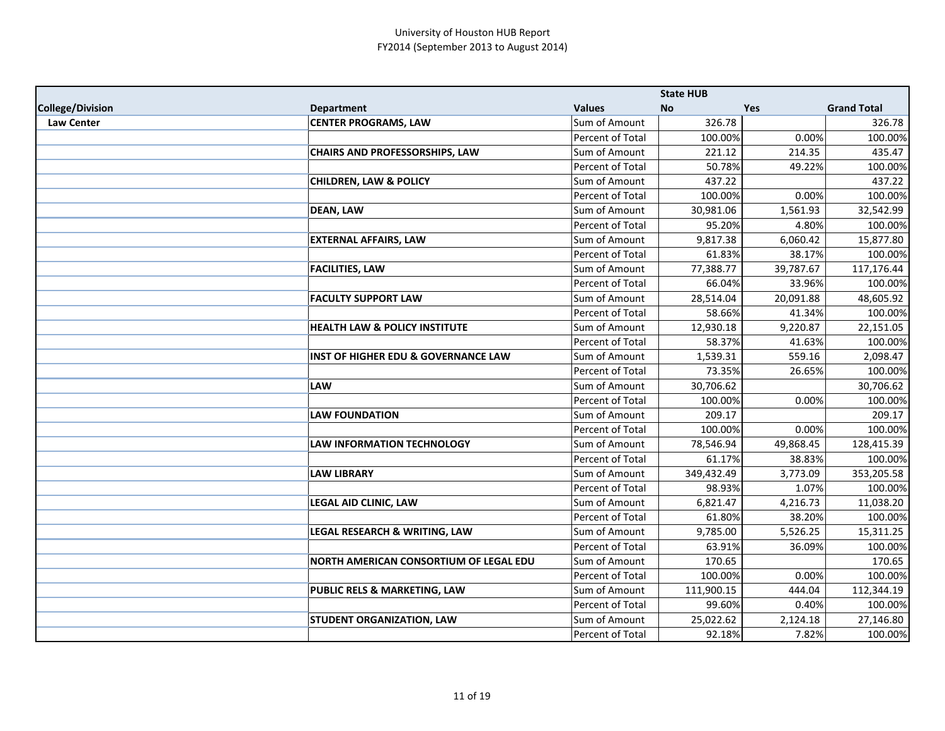|                         |                                                |                  | <b>State HUB</b> |           |                    |
|-------------------------|------------------------------------------------|------------------|------------------|-----------|--------------------|
| <b>College/Division</b> | <b>Department</b>                              | <b>Values</b>    | <b>No</b>        | Yes       | <b>Grand Total</b> |
| <b>Law Center</b>       | <b>CENTER PROGRAMS, LAW</b>                    | Sum of Amount    | 326.78           |           | 326.78             |
|                         |                                                | Percent of Total | 100.00%          | 0.00%     | 100.00%            |
|                         | <b>CHAIRS AND PROFESSORSHIPS, LAW</b>          | Sum of Amount    | 221.12           | 214.35    | 435.47             |
|                         |                                                | Percent of Total | 50.78%           | 49.22%    | 100.00%            |
|                         | <b>CHILDREN, LAW &amp; POLICY</b>              | Sum of Amount    | 437.22           |           | 437.22             |
|                         |                                                | Percent of Total | 100.00%          | 0.00%     | 100.00%            |
|                         | <b>DEAN, LAW</b>                               | Sum of Amount    | 30,981.06        | 1,561.93  | 32,542.99          |
|                         |                                                | Percent of Total | 95.20%           | 4.80%     | 100.00%            |
|                         | <b>EXTERNAL AFFAIRS, LAW</b>                   | Sum of Amount    | 9,817.38         | 6,060.42  | 15,877.80          |
|                         |                                                | Percent of Total | 61.83%           | 38.17%    | 100.00%            |
|                         | <b>FACILITIES, LAW</b>                         | Sum of Amount    | 77,388.77        | 39,787.67 | 117,176.44         |
|                         |                                                | Percent of Total | 66.04%           | 33.96%    | 100.00%            |
|                         | <b>FACULTY SUPPORT LAW</b>                     | Sum of Amount    | 28,514.04        | 20,091.88 | 48,605.92          |
|                         |                                                | Percent of Total | 58.66%           | 41.34%    | 100.00%            |
|                         | <b>HEALTH LAW &amp; POLICY INSTITUTE</b>       | Sum of Amount    | 12,930.18        | 9,220.87  | 22,151.05          |
|                         |                                                | Percent of Total | 58.37%           | 41.63%    | 100.00%            |
|                         | <b>INST OF HIGHER EDU &amp; GOVERNANCE LAW</b> | Sum of Amount    | 1,539.31         | 559.16    | 2,098.47           |
|                         |                                                | Percent of Total | 73.35%           | 26.65%    | 100.00%            |
|                         | <b>LAW</b>                                     | Sum of Amount    | 30,706.62        |           | 30,706.62          |
|                         |                                                | Percent of Total | 100.00%          | 0.00%     | 100.00%            |
|                         | <b>LAW FOUNDATION</b>                          | Sum of Amount    | 209.17           |           | 209.17             |
|                         |                                                | Percent of Total | 100.00%          | 0.00%     | 100.00%            |
|                         | <b>LAW INFORMATION TECHNOLOGY</b>              | Sum of Amount    | 78,546.94        | 49,868.45 | 128,415.39         |
|                         |                                                | Percent of Total | 61.17%           | 38.83%    | 100.00%            |
|                         | <b>LAW LIBRARY</b>                             | Sum of Amount    | 349,432.49       | 3,773.09  | 353,205.58         |
|                         |                                                | Percent of Total | 98.93%           | 1.07%     | 100.00%            |
|                         | LEGAL AID CLINIC, LAW                          | Sum of Amount    | 6,821.47         | 4,216.73  | 11,038.20          |
|                         |                                                | Percent of Total | 61.80%           | 38.20%    | 100.00%            |
|                         | <b>LEGAL RESEARCH &amp; WRITING, LAW</b>       | Sum of Amount    | 9,785.00         | 5,526.25  | 15,311.25          |
|                         |                                                | Percent of Total | 63.91%           | 36.09%    | 100.00%            |
|                         | NORTH AMERICAN CONSORTIUM OF LEGAL EDU         | Sum of Amount    | 170.65           |           | 170.65             |
|                         |                                                | Percent of Total | 100.00%          | 0.00%     | 100.00%            |
|                         | <b>PUBLIC RELS &amp; MARKETING, LAW</b>        | Sum of Amount    | 111,900.15       | 444.04    | 112,344.19         |
|                         |                                                | Percent of Total | 99.60%           | 0.40%     | 100.00%            |
|                         | <b>STUDENT ORGANIZATION, LAW</b>               | Sum of Amount    | 25,022.62        | 2,124.18  | 27,146.80          |
|                         |                                                | Percent of Total | 92.18%           | 7.82%     | 100.00%            |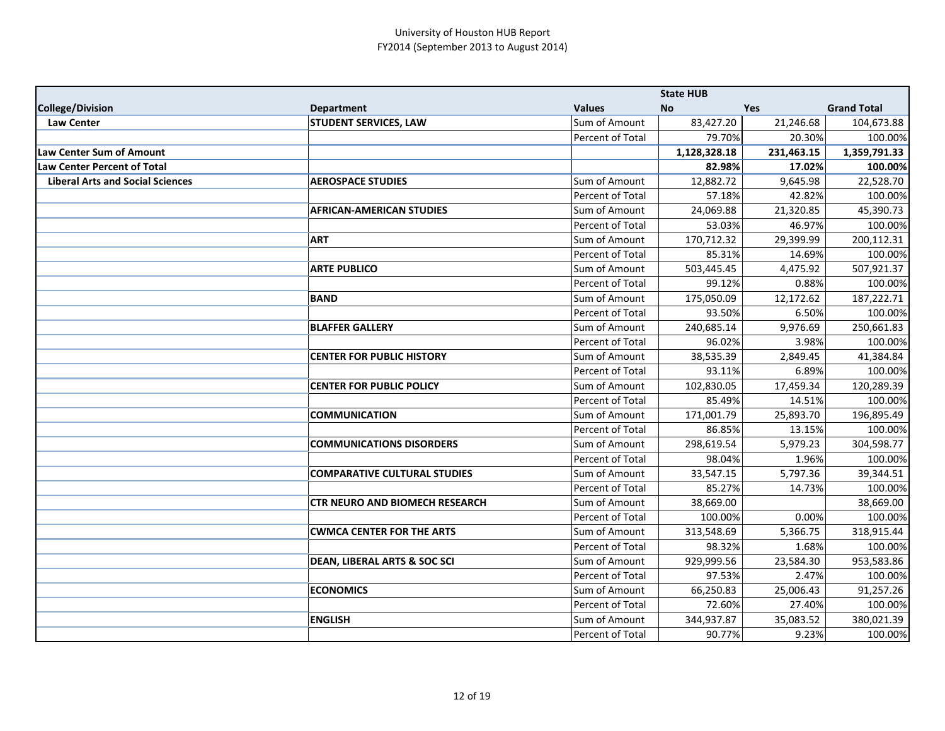|                                         |                                         |                  | <b>State HUB</b> |            |                    |
|-----------------------------------------|-----------------------------------------|------------------|------------------|------------|--------------------|
| College/Division                        | <b>Department</b>                       | <b>Values</b>    | <b>No</b>        | <b>Yes</b> | <b>Grand Total</b> |
| <b>Law Center</b>                       | <b>STUDENT SERVICES, LAW</b>            | Sum of Amount    | 83,427.20        | 21,246.68  | 104,673.88         |
|                                         |                                         | Percent of Total | 79.70%           | 20.30%     | 100.00%            |
| <b>Law Center Sum of Amount</b>         |                                         |                  | 1,128,328.18     | 231,463.15 | 1,359,791.33       |
| <b>Law Center Percent of Total</b>      |                                         |                  | 82.98%           | 17.02%     | 100.00%            |
| <b>Liberal Arts and Social Sciences</b> | <b>AEROSPACE STUDIES</b>                | Sum of Amount    | 12,882.72        | 9,645.98   | 22,528.70          |
|                                         |                                         | Percent of Total | 57.18%           | 42.82%     | 100.00%            |
|                                         | <b>AFRICAN-AMERICAN STUDIES</b>         | Sum of Amount    | 24,069.88        | 21,320.85  | 45,390.73          |
|                                         |                                         | Percent of Total | 53.03%           | 46.97%     | 100.00%            |
|                                         | <b>ART</b>                              | Sum of Amount    | 170,712.32       | 29,399.99  | 200,112.31         |
|                                         |                                         | Percent of Total | 85.31%           | 14.69%     | 100.00%            |
|                                         | <b>ARTE PUBLICO</b>                     | Sum of Amount    | 503,445.45       | 4,475.92   | 507,921.37         |
|                                         |                                         | Percent of Total | 99.12%           | 0.88%      | 100.00%            |
|                                         | <b>BAND</b>                             | Sum of Amount    | 175,050.09       | 12,172.62  | 187,222.71         |
|                                         |                                         | Percent of Total | 93.50%           | 6.50%      | 100.00%            |
|                                         | <b>BLAFFER GALLERY</b>                  | Sum of Amount    | 240,685.14       | 9,976.69   | 250,661.83         |
|                                         |                                         | Percent of Total | 96.02%           | 3.98%      | 100.00%            |
|                                         | <b>CENTER FOR PUBLIC HISTORY</b>        | Sum of Amount    | 38,535.39        | 2,849.45   | 41,384.84          |
|                                         |                                         | Percent of Total | 93.11%           | 6.89%      | 100.00%            |
|                                         | <b>CENTER FOR PUBLIC POLICY</b>         | Sum of Amount    | 102,830.05       | 17,459.34  | 120,289.39         |
|                                         |                                         | Percent of Total | 85.49%           | 14.51%     | 100.00%            |
|                                         | <b>COMMUNICATION</b>                    | Sum of Amount    | 171,001.79       | 25,893.70  | 196,895.49         |
|                                         |                                         | Percent of Total | 86.85%           | 13.15%     | 100.00%            |
|                                         | <b>COMMUNICATIONS DISORDERS</b>         | Sum of Amount    | 298,619.54       | 5,979.23   | 304,598.77         |
|                                         |                                         | Percent of Total | 98.04%           | 1.96%      | 100.00%            |
|                                         | <b>COMPARATIVE CULTURAL STUDIES</b>     | Sum of Amount    | 33,547.15        | 5,797.36   | 39,344.51          |
|                                         |                                         | Percent of Total | 85.27%           | 14.73%     | 100.00%            |
|                                         | <b>CTR NEURO AND BIOMECH RESEARCH</b>   | Sum of Amount    | 38,669.00        |            | 38,669.00          |
|                                         |                                         | Percent of Total | 100.00%          | 0.00%      | 100.00%            |
|                                         | <b>CWMCA CENTER FOR THE ARTS</b>        | Sum of Amount    | 313,548.69       | 5,366.75   | 318,915.44         |
|                                         |                                         | Percent of Total | 98.32%           | 1.68%      | 100.00%            |
|                                         | <b>DEAN, LIBERAL ARTS &amp; SOC SCI</b> | Sum of Amount    | 929,999.56       | 23,584.30  | 953,583.86         |
|                                         |                                         | Percent of Total | 97.53%           | 2.47%      | 100.00%            |
|                                         | <b>ECONOMICS</b>                        | Sum of Amount    | 66,250.83        | 25,006.43  | 91,257.26          |
|                                         |                                         | Percent of Total | 72.60%           | 27.40%     | 100.00%            |
|                                         | <b>ENGLISH</b>                          | Sum of Amount    | 344,937.87       | 35,083.52  | 380,021.39         |
|                                         |                                         | Percent of Total | 90.77%           | 9.23%      | 100.00%            |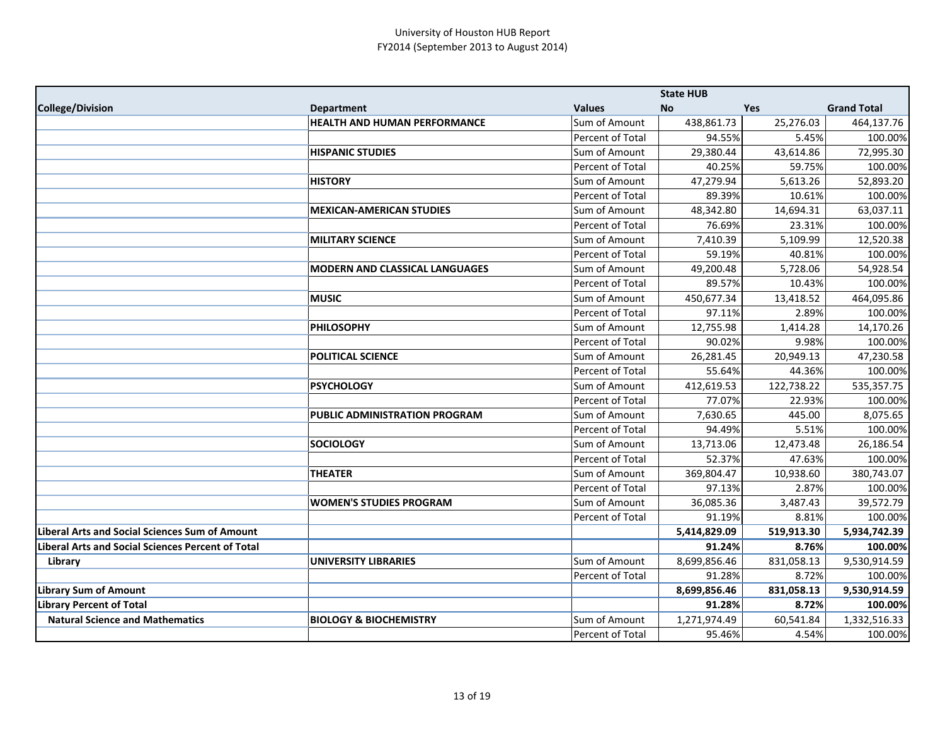|                                                       |                                       |                  | <b>State HUB</b> |            |                    |
|-------------------------------------------------------|---------------------------------------|------------------|------------------|------------|--------------------|
| <b>College/Division</b>                               | <b>Department</b>                     | <b>Values</b>    | <b>No</b>        | <b>Yes</b> | <b>Grand Total</b> |
|                                                       | <b>HEALTH AND HUMAN PERFORMANCE</b>   | Sum of Amount    | 438,861.73       | 25,276.03  | 464,137.76         |
|                                                       |                                       | Percent of Total | 94.55%           | 5.45%      | 100.00%            |
|                                                       | <b>HISPANIC STUDIES</b>               | Sum of Amount    | 29,380.44        | 43,614.86  | 72,995.30          |
|                                                       |                                       | Percent of Total | 40.25%           | 59.75%     | 100.00%            |
|                                                       | <b>HISTORY</b>                        | Sum of Amount    | 47,279.94        | 5,613.26   | 52,893.20          |
|                                                       |                                       | Percent of Total | 89.39%           | 10.61%     | 100.00%            |
|                                                       | <b>MEXICAN-AMERICAN STUDIES</b>       | Sum of Amount    | 48,342.80        | 14,694.31  | 63,037.11          |
|                                                       |                                       | Percent of Total | 76.69%           | 23.31%     | 100.00%            |
|                                                       | <b>MILITARY SCIENCE</b>               | Sum of Amount    | 7,410.39         | 5,109.99   | 12,520.38          |
|                                                       |                                       | Percent of Total | 59.19%           | 40.81%     | 100.00%            |
|                                                       | <b>MODERN AND CLASSICAL LANGUAGES</b> | Sum of Amount    | 49,200.48        | 5,728.06   | 54,928.54          |
|                                                       |                                       | Percent of Total | 89.57%           | 10.43%     | 100.00%            |
|                                                       | <b>MUSIC</b>                          | Sum of Amount    | 450,677.34       | 13,418.52  | 464,095.86         |
|                                                       |                                       | Percent of Total | 97.11%           | 2.89%      | 100.00%            |
|                                                       | <b>PHILOSOPHY</b>                     | Sum of Amount    | 12,755.98        | 1,414.28   | 14,170.26          |
|                                                       |                                       | Percent of Total | 90.02%           | 9.98%      | 100.00%            |
|                                                       | <b>POLITICAL SCIENCE</b>              | Sum of Amount    | 26,281.45        | 20,949.13  | 47,230.58          |
|                                                       |                                       | Percent of Total | 55.64%           | 44.36%     | 100.00%            |
|                                                       | <b>PSYCHOLOGY</b>                     | Sum of Amount    | 412,619.53       | 122,738.22 | 535,357.75         |
|                                                       |                                       | Percent of Total | 77.07%           | 22.93%     | 100.00%            |
|                                                       | PUBLIC ADMINISTRATION PROGRAM         | Sum of Amount    | 7,630.65         | 445.00     | 8,075.65           |
|                                                       |                                       | Percent of Total | 94.49%           | 5.51%      | 100.00%            |
|                                                       | <b>SOCIOLOGY</b>                      | Sum of Amount    | 13,713.06        | 12,473.48  | 26,186.54          |
|                                                       |                                       | Percent of Total | 52.37%           | 47.63%     | 100.00%            |
|                                                       | <b>THEATER</b>                        | Sum of Amount    | 369,804.47       | 10,938.60  | 380,743.07         |
|                                                       |                                       | Percent of Total | 97.13%           | 2.87%      | 100.00%            |
|                                                       | <b>WOMEN'S STUDIES PROGRAM</b>        | Sum of Amount    | 36,085.36        | 3,487.43   | 39,572.79          |
|                                                       |                                       | Percent of Total | 91.19%           | 8.81%      | 100.00%            |
| <b>Liberal Arts and Social Sciences Sum of Amount</b> |                                       |                  | 5,414,829.09     | 519,913.30 | 5,934,742.39       |
| Liberal Arts and Social Sciences Percent of Total     |                                       |                  | 91.24%           | 8.76%      | 100.00%            |
| Library                                               | UNIVERSITY LIBRARIES                  | Sum of Amount    | 8,699,856.46     | 831,058.13 | 9,530,914.59       |
|                                                       |                                       | Percent of Total | 91.28%           | 8.72%      | 100.00%            |
| <b>Library Sum of Amount</b>                          |                                       |                  | 8,699,856.46     | 831,058.13 | 9,530,914.59       |
| <b>Library Percent of Total</b>                       |                                       |                  | 91.28%           | 8.72%      | 100.00%            |
| <b>Natural Science and Mathematics</b>                | <b>BIOLOGY &amp; BIOCHEMISTRY</b>     | Sum of Amount    | 1,271,974.49     | 60,541.84  | 1,332,516.33       |
|                                                       |                                       | Percent of Total | 95.46%           | 4.54%      | 100.00%            |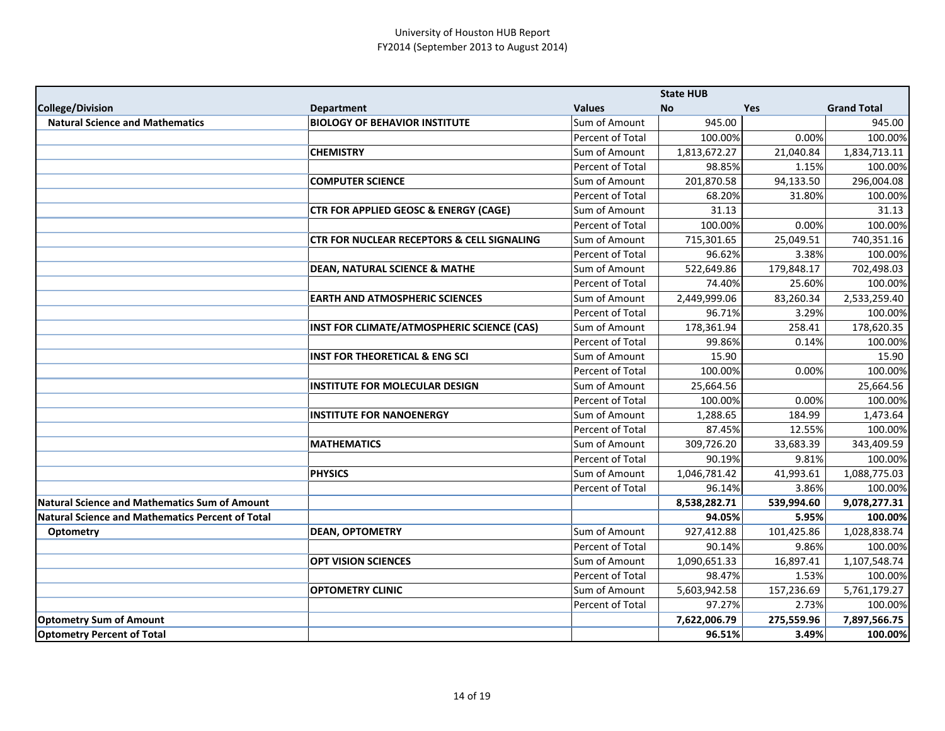|                                                  |                                                       |                         | <b>State HUB</b> |            |                    |
|--------------------------------------------------|-------------------------------------------------------|-------------------------|------------------|------------|--------------------|
| <b>College/Division</b>                          | <b>Department</b>                                     | <b>Values</b>           | <b>No</b>        | Yes        | <b>Grand Total</b> |
| <b>Natural Science and Mathematics</b>           | <b>BIOLOGY OF BEHAVIOR INSTITUTE</b>                  | Sum of Amount           | 945.00           |            | 945.00             |
|                                                  |                                                       | Percent of Total        | 100.00%          | 0.00%      | 100.00%            |
|                                                  | <b>CHEMISTRY</b>                                      | Sum of Amount           | 1,813,672.27     | 21,040.84  | 1,834,713.11       |
|                                                  |                                                       | Percent of Total        | 98.85%           | 1.15%      | 100.00%            |
|                                                  | <b>COMPUTER SCIENCE</b>                               | Sum of Amount           | 201,870.58       | 94,133.50  | 296,004.08         |
|                                                  |                                                       | Percent of Total        | 68.20%           | 31.80%     | 100.00%            |
|                                                  | <b>CTR FOR APPLIED GEOSC &amp; ENERGY (CAGE)</b>      | Sum of Amount           | 31.13            |            | 31.13              |
|                                                  |                                                       | <b>Percent of Total</b> | 100.00%          | 0.00%      | 100.00%            |
|                                                  | <b>CTR FOR NUCLEAR RECEPTORS &amp; CELL SIGNALING</b> | Sum of Amount           | 715,301.65       | 25,049.51  | 740,351.16         |
|                                                  |                                                       | Percent of Total        | 96.62%           | 3.38%      | 100.00%            |
|                                                  | <b>DEAN, NATURAL SCIENCE &amp; MATHE</b>              | Sum of Amount           | 522,649.86       | 179,848.17 | 702,498.03         |
|                                                  |                                                       | Percent of Total        | 74.40%           | 25.60%     | 100.00%            |
|                                                  | <b>EARTH AND ATMOSPHERIC SCIENCES</b>                 | Sum of Amount           | 2,449,999.06     | 83,260.34  | 2,533,259.40       |
|                                                  |                                                       | Percent of Total        | 96.71%           | 3.29%      | 100.00%            |
|                                                  | INST FOR CLIMATE/ATMOSPHERIC SCIENCE (CAS)            | Sum of Amount           | 178,361.94       | 258.41     | 178,620.35         |
|                                                  |                                                       | Percent of Total        | 99.86%           | 0.14%      | 100.00%            |
|                                                  | <b>INST FOR THEORETICAL &amp; ENG SCI</b>             | Sum of Amount           | 15.90            |            | 15.90              |
|                                                  |                                                       | Percent of Total        | 100.00%          | 0.00%      | 100.00%            |
|                                                  | <b>INSTITUTE FOR MOLECULAR DESIGN</b>                 | Sum of Amount           | 25,664.56        |            | 25,664.56          |
|                                                  |                                                       | Percent of Total        | 100.00%          | 0.00%      | 100.00%            |
|                                                  | <b>INSTITUTE FOR NANOENERGY</b>                       | Sum of Amount           | 1,288.65         | 184.99     | 1,473.64           |
|                                                  |                                                       | Percent of Total        | 87.45%           | 12.55%     | 100.00%            |
|                                                  | <b>MATHEMATICS</b>                                    | Sum of Amount           | 309,726.20       | 33,683.39  | 343,409.59         |
|                                                  |                                                       | Percent of Total        | 90.19%           | 9.81%      | 100.00%            |
|                                                  | <b>PHYSICS</b>                                        | Sum of Amount           | 1,046,781.42     | 41,993.61  | 1,088,775.03       |
|                                                  |                                                       | Percent of Total        | 96.14%           | 3.86%      | 100.00%            |
| Natural Science and Mathematics Sum of Amount    |                                                       |                         | 8,538,282.71     | 539,994.60 | 9,078,277.31       |
| Natural Science and Mathematics Percent of Total |                                                       |                         | 94.05%           | 5.95%      | 100.00%            |
| <b>Optometry</b>                                 | <b>DEAN, OPTOMETRY</b>                                | Sum of Amount           | 927,412.88       | 101,425.86 | 1,028,838.74       |
|                                                  |                                                       | Percent of Total        | 90.14%           | 9.86%      | 100.00%            |
|                                                  | <b>OPT VISION SCIENCES</b>                            | Sum of Amount           | 1,090,651.33     | 16,897.41  | 1,107,548.74       |
|                                                  |                                                       | Percent of Total        | 98.47%           | 1.53%      | 100.00%            |
|                                                  | <b>OPTOMETRY CLINIC</b>                               | Sum of Amount           | 5,603,942.58     | 157,236.69 | 5,761,179.27       |
|                                                  |                                                       | Percent of Total        | 97.27%           | 2.73%      | 100.00%            |
| <b>Optometry Sum of Amount</b>                   |                                                       |                         | 7,622,006.79     | 275,559.96 | 7,897,566.75       |
| <b>Optometry Percent of Total</b>                |                                                       |                         | 96.51%           | 3.49%      | 100.00%            |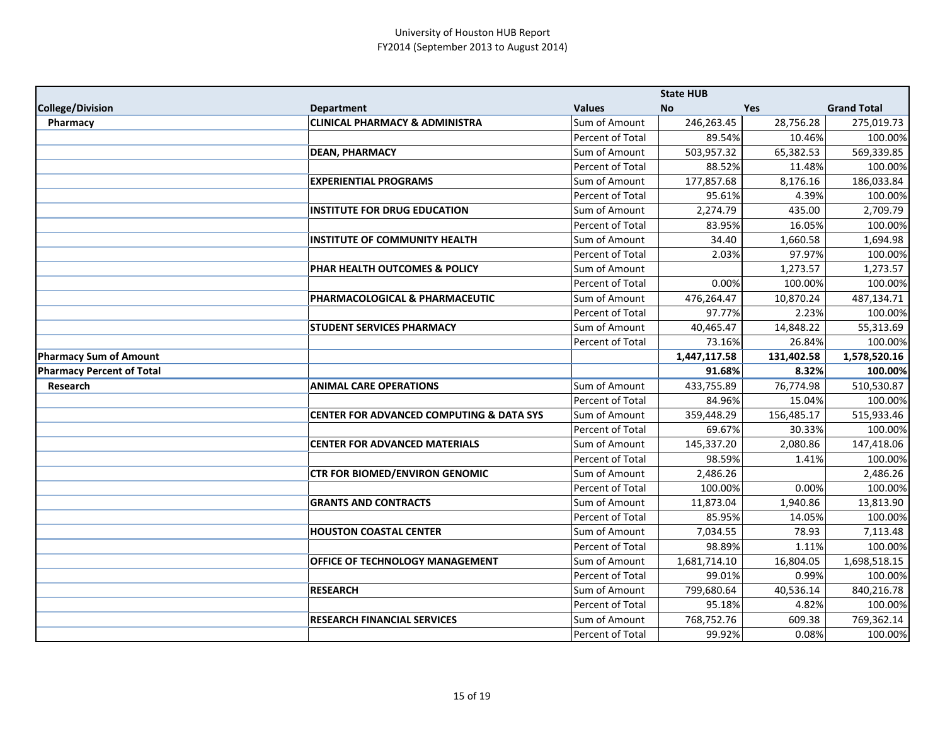|                                  |                                                     |                                   | <b>State HUB</b>     |                 |                       |
|----------------------------------|-----------------------------------------------------|-----------------------------------|----------------------|-----------------|-----------------------|
| <b>College/Division</b>          | <b>Department</b>                                   | <b>Values</b>                     | <b>No</b>            | <b>Yes</b>      | <b>Grand Total</b>    |
| Pharmacy                         | <b>CLINICAL PHARMACY &amp; ADMINISTRA</b>           | Sum of Amount                     | 246,263.45           | 28,756.28       | 275,019.73            |
|                                  |                                                     | Percent of Total                  | 89.54%               | 10.46%          | 100.00%               |
|                                  | <b>DEAN, PHARMACY</b>                               | Sum of Amount                     | 503,957.32           | 65,382.53       | 569,339.85            |
|                                  |                                                     | Percent of Total                  | 88.52%               | 11.48%          | 100.00%               |
|                                  | <b>EXPERIENTIAL PROGRAMS</b>                        | <b>Sum of Amount</b>              | 177,857.68           | 8,176.16        | 186,033.84            |
|                                  |                                                     | Percent of Total                  | 95.61%               | 4.39%           | 100.00%               |
|                                  | <b>INSTITUTE FOR DRUG EDUCATION</b>                 | Sum of Amount                     | 2,274.79             | 435.00          | 2,709.79              |
|                                  |                                                     | Percent of Total                  | 83.95%               | 16.05%          | 100.00%               |
|                                  | <b>INSTITUTE OF COMMUNITY HEALTH</b>                | Sum of Amount                     | 34.40                | 1,660.58        | 1,694.98              |
|                                  |                                                     | Percent of Total                  | 2.03%                | 97.97%          | 100.00%               |
|                                  | PHAR HEALTH OUTCOMES & POLICY                       | Sum of Amount                     |                      | 1,273.57        | 1,273.57              |
|                                  |                                                     | Percent of Total                  | 0.00%                | 100.00%         | 100.00%               |
|                                  | PHARMACOLOGICAL & PHARMACEUTIC                      | Sum of Amount                     | 476,264.47           | 10,870.24       | 487,134.71            |
|                                  |                                                     | Percent of Total                  | 97.77%               | 2.23%           | 100.00%               |
|                                  | <b>STUDENT SERVICES PHARMACY</b>                    | Sum of Amount                     | 40,465.47            | 14,848.22       | 55,313.69             |
|                                  |                                                     | Percent of Total                  | 73.16%               | 26.84%          | 100.00%               |
| <b>Pharmacy Sum of Amount</b>    |                                                     |                                   | 1,447,117.58         | 131,402.58      | 1,578,520.16          |
| <b>Pharmacy Percent of Total</b> |                                                     |                                   | 91.68%               | 8.32%           | 100.00%               |
| Research                         | <b>ANIMAL CARE OPERATIONS</b>                       | Sum of Amount                     | 433,755.89           | 76,774.98       | 510,530.87            |
|                                  |                                                     | Percent of Total                  | 84.96%               | 15.04%          | 100.00%               |
|                                  | <b>CENTER FOR ADVANCED COMPUTING &amp; DATA SYS</b> | Sum of Amount                     | 359,448.29           | 156,485.17      | 515,933.46            |
|                                  |                                                     | Percent of Total                  | 69.67%               | 30.33%          | 100.00%               |
|                                  | <b>CENTER FOR ADVANCED MATERIALS</b>                | Sum of Amount                     | 145,337.20           | 2,080.86        | 147,418.06            |
|                                  |                                                     | Percent of Total                  | 98.59%               | 1.41%           | 100.00%               |
|                                  | <b>CTR FOR BIOMED/ENVIRON GENOMIC</b>               | Sum of Amount                     | 2,486.26             |                 | 2,486.26              |
|                                  |                                                     | Percent of Total                  | 100.00%              | 0.00%           | 100.00%               |
|                                  | <b>GRANTS AND CONTRACTS</b>                         | Sum of Amount                     | 11,873.04            | 1,940.86        | 13,813.90             |
|                                  |                                                     | Percent of Total                  | 85.95%               | 14.05%          | 100.00%               |
|                                  | <b>HOUSTON COASTAL CENTER</b>                       | Sum of Amount                     | 7,034.55             | 78.93           | 7,113.48              |
|                                  |                                                     | Percent of Total                  | 98.89%               | 1.11%           | 100.00%               |
|                                  | OFFICE OF TECHNOLOGY MANAGEMENT                     | Sum of Amount                     | 1,681,714.10         | 16,804.05       | 1,698,518.15          |
|                                  |                                                     | Percent of Total                  | 99.01%               | 0.99%           | 100.00%               |
|                                  | <b>RESEARCH</b>                                     | Sum of Amount                     | 799,680.64           | 40,536.14       | 840,216.78            |
|                                  |                                                     | Percent of Total                  | 95.18%               | 4.82%           | 100.00%               |
|                                  |                                                     |                                   |                      |                 |                       |
|                                  | <b>RESEARCH FINANCIAL SERVICES</b>                  | Sum of Amount<br>Percent of Total | 768,752.76<br>99.92% | 609.38<br>0.08% | 769,362.14<br>100.00% |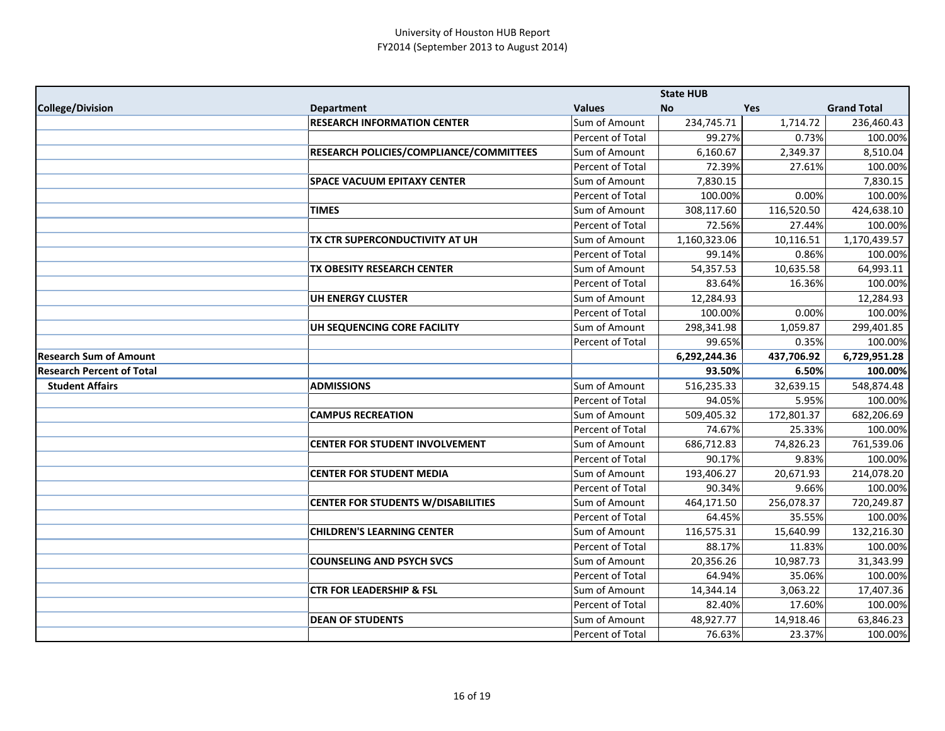|                                  |                                                |                                   | <b>State HUB</b>    |                     |                      |
|----------------------------------|------------------------------------------------|-----------------------------------|---------------------|---------------------|----------------------|
| College/Division                 | <b>Department</b>                              | <b>Values</b>                     | No                  | <b>Yes</b>          | <b>Grand Total</b>   |
|                                  | <b>RESEARCH INFORMATION CENTER</b>             | Sum of Amount                     | 234,745.71          | 1,714.72            | 236,460.43           |
|                                  |                                                | Percent of Total                  | 99.27%              | 0.73%               | 100.00%              |
|                                  | <b>RESEARCH POLICIES/COMPLIANCE/COMMITTEES</b> | Sum of Amount                     | 6,160.67            | 2,349.37            | 8,510.04             |
|                                  |                                                | Percent of Total                  | 72.39%              | 27.61%              | 100.00%              |
|                                  | <b>SPACE VACUUM EPITAXY CENTER</b>             | Sum of Amount                     | 7,830.15            |                     | 7,830.15             |
|                                  |                                                | Percent of Total                  | 100.00%             | 0.00%               | 100.00%              |
|                                  | <b>TIMES</b>                                   | Sum of Amount                     | 308,117.60          | 116,520.50          | 424,638.10           |
|                                  |                                                | Percent of Total                  | 72.56%              | 27.44%              | 100.00%              |
|                                  | <b>TX CTR SUPERCONDUCTIVITY AT UH</b>          | Sum of Amount                     | 1,160,323.06        | 10,116.51           | 1,170,439.57         |
|                                  |                                                | Percent of Total                  | 99.14%              | 0.86%               | 100.00%              |
|                                  | TX OBESITY RESEARCH CENTER                     | Sum of Amount                     | 54,357.53           | 10,635.58           | 64,993.11            |
|                                  |                                                | Percent of Total                  | 83.64%              | 16.36%              | 100.00%              |
|                                  | UH ENERGY CLUSTER                              | Sum of Amount                     | 12,284.93           |                     | 12,284.93            |
|                                  |                                                | Percent of Total                  | 100.00%             | 0.00%               | 100.00%              |
|                                  | UH SEQUENCING CORE FACILITY                    | Sum of Amount                     | 298,341.98          | 1,059.87            | 299,401.85           |
|                                  |                                                | Percent of Total                  | 99.65%              | 0.35%               | 100.00%              |
| Research Sum of Amount           |                                                |                                   | 6,292,244.36        | 437,706.92          | 6,729,951.28         |
| <b>Research Percent of Total</b> |                                                |                                   | 93.50%              | 6.50%               | 100.00%              |
| <b>Student Affairs</b>           | <b>ADMISSIONS</b>                              | Sum of Amount                     | 516,235.33          | 32,639.15           | 548,874.48           |
|                                  |                                                | Percent of Total                  | 94.05%              | 5.95%               | 100.00%              |
|                                  | <b>CAMPUS RECREATION</b>                       | Sum of Amount                     | 509,405.32          | 172,801.37          | 682,206.69           |
|                                  |                                                | Percent of Total                  | 74.67%              | 25.33%              | 100.00%              |
|                                  | <b>CENTER FOR STUDENT INVOLVEMENT</b>          | Sum of Amount                     | 686,712.83          | 74,826.23           | 761,539.06           |
|                                  |                                                | Percent of Total                  | 90.17%              | 9.83%               | 100.00%              |
|                                  | <b>CENTER FOR STUDENT MEDIA</b>                | Sum of Amount                     | 193,406.27          | 20,671.93           | 214,078.20           |
|                                  |                                                | Percent of Total                  | 90.34%              | 9.66%               | 100.00%              |
|                                  | <b>CENTER FOR STUDENTS W/DISABILITIES</b>      | Sum of Amount                     | 464,171.50          | 256,078.37          | 720,249.87           |
|                                  |                                                | Percent of Total                  | 64.45%              | 35.55%              | 100.00%              |
|                                  |                                                |                                   |                     |                     |                      |
|                                  | <b>CHILDREN'S LEARNING CENTER</b>              | Sum of Amount                     | 116,575.31          | 15,640.99           | 132,216.30           |
|                                  |                                                | Percent of Total                  | 88.17%              | 11.83%              | 100.00%              |
|                                  | <b>COUNSELING AND PSYCH SVCS</b>               | Sum of Amount                     | 20,356.26           | 10,987.73           | 31,343.99            |
|                                  |                                                | Percent of Total                  | 64.94%              | 35.06%              | 100.00%              |
|                                  | <b>CTR FOR LEADERSHIP &amp; FSL</b>            | Sum of Amount                     | 14,344.14           | 3,063.22            | 17,407.36            |
|                                  |                                                | Percent of Total                  | 82.40%              | 17.60%              | 100.00%              |
|                                  | <b>DEAN OF STUDENTS</b>                        | Sum of Amount<br>Percent of Total | 48,927.77<br>76.63% | 14,918.46<br>23.37% | 63,846.23<br>100.00% |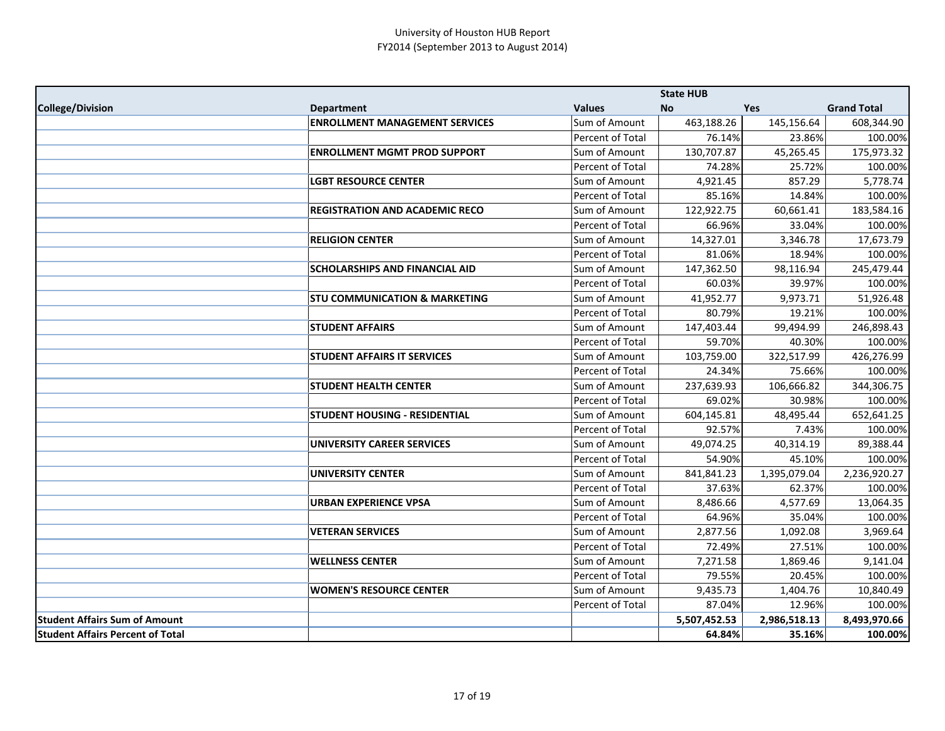|                                         |                                          |                      | <b>State HUB</b> |              |                    |
|-----------------------------------------|------------------------------------------|----------------------|------------------|--------------|--------------------|
| College/Division                        | <b>Department</b>                        | <b>Values</b>        | No               | <b>Yes</b>   | <b>Grand Total</b> |
|                                         | <b>ENROLLMENT MANAGEMENT SERVICES</b>    | Sum of Amount        | 463,188.26       | 145,156.64   | 608,344.90         |
|                                         |                                          | Percent of Total     | 76.14%           | 23.86%       | 100.00%            |
|                                         | <b>ENROLLMENT MGMT PROD SUPPORT</b>      | Sum of Amount        | 130,707.87       | 45,265.45    | 175,973.32         |
|                                         |                                          | Percent of Total     | 74.28%           | 25.72%       | 100.00%            |
|                                         | <b>LGBT RESOURCE CENTER</b>              | Sum of Amount        | 4,921.45         | 857.29       | 5,778.74           |
|                                         |                                          | Percent of Total     | 85.16%           | 14.84%       | 100.00%            |
|                                         | <b>REGISTRATION AND ACADEMIC RECO</b>    | Sum of Amount        | 122,922.75       | 60,661.41    | 183,584.16         |
|                                         |                                          | Percent of Total     | 66.96%           | 33.04%       | 100.00%            |
|                                         | <b>RELIGION CENTER</b>                   | Sum of Amount        | 14,327.01        | 3,346.78     | 17,673.79          |
|                                         |                                          | Percent of Total     | 81.06%           | 18.94%       | 100.00%            |
|                                         | <b>SCHOLARSHIPS AND FINANCIAL AID</b>    | Sum of Amount        | 147,362.50       | 98,116.94    | 245,479.44         |
|                                         |                                          | Percent of Total     | 60.03%           | 39.97%       | 100.00%            |
|                                         | <b>STU COMMUNICATION &amp; MARKETING</b> | Sum of Amount        | 41,952.77        | 9,973.71     | 51,926.48          |
|                                         |                                          | Percent of Total     | 80.79%           | 19.21%       | 100.00%            |
|                                         | <b>STUDENT AFFAIRS</b>                   | <b>Sum of Amount</b> | 147,403.44       | 99,494.99    | 246,898.43         |
|                                         |                                          | Percent of Total     | 59.70%           | 40.30%       | 100.00%            |
|                                         | <b>STUDENT AFFAIRS IT SERVICES</b>       | Sum of Amount        | 103,759.00       | 322,517.99   | 426,276.99         |
|                                         |                                          | Percent of Total     | 24.34%           | 75.66%       | 100.00%            |
|                                         | <b>STUDENT HEALTH CENTER</b>             | Sum of Amount        | 237,639.93       | 106,666.82   | 344,306.75         |
|                                         |                                          | Percent of Total     | 69.02%           | 30.98%       | 100.00%            |
|                                         | <b>STUDENT HOUSING - RESIDENTIAL</b>     | Sum of Amount        | 604,145.81       | 48,495.44    | 652,641.25         |
|                                         |                                          | Percent of Total     | 92.57%           | 7.43%        | 100.00%            |
|                                         | <b>UNIVERSITY CAREER SERVICES</b>        | Sum of Amount        | 49,074.25        | 40,314.19    | 89,388.44          |
|                                         |                                          | Percent of Total     | 54.90%           | 45.10%       | 100.00%            |
|                                         | <b>UNIVERSITY CENTER</b>                 | <b>Sum of Amount</b> | 841,841.23       | 1,395,079.04 | 2,236,920.27       |
|                                         |                                          | Percent of Total     | 37.63%           | 62.37%       | 100.00%            |
|                                         | <b>URBAN EXPERIENCE VPSA</b>             | Sum of Amount        | 8,486.66         | 4,577.69     | 13,064.35          |
|                                         |                                          | Percent of Total     | 64.96%           | 35.04%       | 100.00%            |
|                                         | <b>VETERAN SERVICES</b>                  | Sum of Amount        | 2,877.56         | 1,092.08     | 3,969.64           |
|                                         |                                          | Percent of Total     | 72.49%           | 27.51%       | 100.00%            |
|                                         | <b>WELLNESS CENTER</b>                   | Sum of Amount        | 7,271.58         | 1,869.46     | 9,141.04           |
|                                         |                                          | Percent of Total     | 79.55%           | 20.45%       | 100.00%            |
|                                         | <b>WOMEN'S RESOURCE CENTER</b>           | Sum of Amount        | 9,435.73         | 1,404.76     | 10,840.49          |
|                                         |                                          | Percent of Total     | 87.04%           | 12.96%       | 100.00%            |
| <b>Student Affairs Sum of Amount</b>    |                                          |                      | 5,507,452.53     | 2,986,518.13 | 8,493,970.66       |
| <b>Student Affairs Percent of Total</b> |                                          |                      | 64.84%           | 35.16%       | 100.00%            |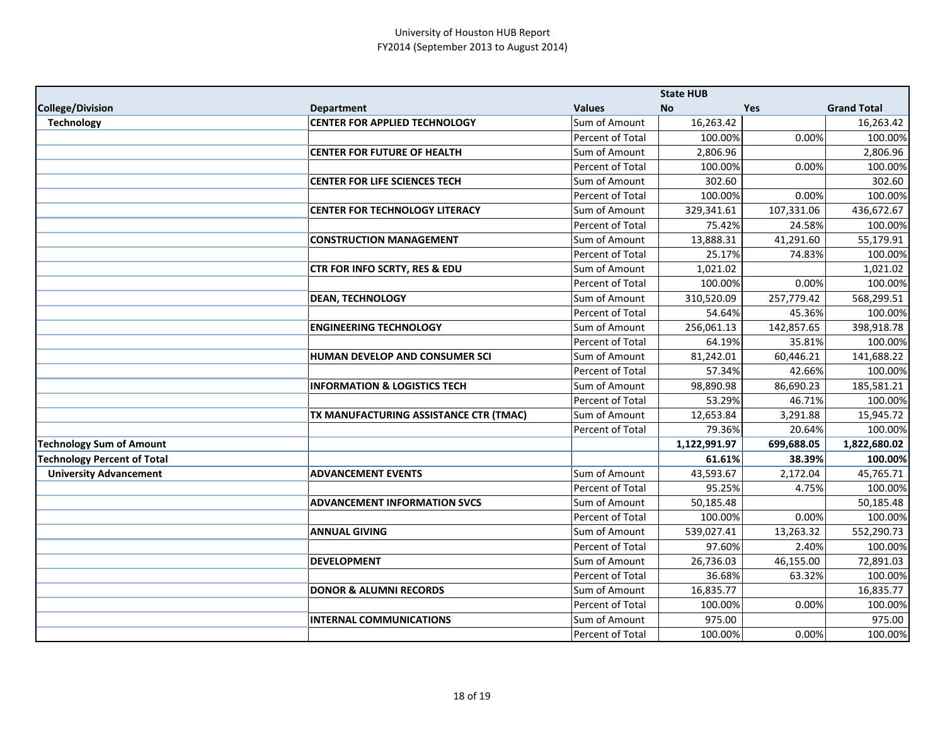|                                    |                                         |                      | <b>State HUB</b> |            |                    |
|------------------------------------|-----------------------------------------|----------------------|------------------|------------|--------------------|
| <b>College/Division</b>            | <b>Department</b>                       | <b>Values</b>        | <b>No</b>        | Yes        | <b>Grand Total</b> |
| <b>Technology</b>                  | <b>CENTER FOR APPLIED TECHNOLOGY</b>    | Sum of Amount        | 16,263.42        |            | 16,263.42          |
|                                    |                                         | Percent of Total     | 100.00%          | 0.00%      | 100.00%            |
|                                    | <b>CENTER FOR FUTURE OF HEALTH</b>      | Sum of Amount        | 2,806.96         |            | 2,806.96           |
|                                    |                                         | Percent of Total     | 100.00%          | 0.00%      | 100.00%            |
|                                    | <b>CENTER FOR LIFE SCIENCES TECH</b>    | <b>Sum of Amount</b> | 302.60           |            | 302.60             |
|                                    |                                         | Percent of Total     | 100.00%          | 0.00%      | 100.00%            |
|                                    | <b>CENTER FOR TECHNOLOGY LITERACY</b>   | Sum of Amount        | 329,341.61       | 107,331.06 | 436,672.67         |
|                                    |                                         | Percent of Total     | 75.42%           | 24.58%     | 100.00%            |
|                                    | <b>CONSTRUCTION MANAGEMENT</b>          | Sum of Amount        | 13,888.31        | 41,291.60  | 55,179.91          |
|                                    |                                         | Percent of Total     | 25.17%           | 74.83%     | 100.00%            |
|                                    | CTR FOR INFO SCRTY, RES & EDU           | Sum of Amount        | 1,021.02         |            | 1,021.02           |
|                                    |                                         | Percent of Total     | 100.00%          | 0.00%      | 100.00%            |
|                                    | <b>DEAN, TECHNOLOGY</b>                 | Sum of Amount        | 310,520.09       | 257,779.42 | 568,299.51         |
|                                    |                                         | Percent of Total     | 54.64%           | 45.36%     | 100.00%            |
|                                    | <b>ENGINEERING TECHNOLOGY</b>           | Sum of Amount        | 256,061.13       | 142,857.65 | 398,918.78         |
|                                    |                                         | Percent of Total     | 64.19%           | 35.81%     | 100.00%            |
|                                    | HUMAN DEVELOP AND CONSUMER SCI          | Sum of Amount        | 81,242.01        | 60,446.21  | 141,688.22         |
|                                    |                                         | Percent of Total     | 57.34%           | 42.66%     | 100.00%            |
|                                    | <b>INFORMATION &amp; LOGISTICS TECH</b> | Sum of Amount        | 98,890.98        | 86,690.23  | 185,581.21         |
|                                    |                                         | Percent of Total     | 53.29%           | 46.71%     | 100.00%            |
|                                    | TX MANUFACTURING ASSISTANCE CTR (TMAC)  | Sum of Amount        | 12,653.84        | 3,291.88   | 15,945.72          |
|                                    |                                         | Percent of Total     | 79.36%           | 20.64%     | 100.00%            |
| <b>Technology Sum of Amount</b>    |                                         |                      | 1,122,991.97     | 699,688.05 | 1,822,680.02       |
| <b>Technology Percent of Total</b> |                                         |                      | 61.61%           | 38.39%     | 100.00%            |
| <b>University Advancement</b>      | <b>ADVANCEMENT EVENTS</b>               | Sum of Amount        | 43,593.67        | 2,172.04   | 45,765.71          |
|                                    |                                         | Percent of Total     | 95.25%           | 4.75%      | 100.00%            |
|                                    | <b>ADVANCEMENT INFORMATION SVCS</b>     | Sum of Amount        | 50,185.48        |            | 50,185.48          |
|                                    |                                         | Percent of Total     | 100.00%          | 0.00%      | 100.00%            |
|                                    | <b>ANNUAL GIVING</b>                    | Sum of Amount        | 539,027.41       | 13,263.32  | 552,290.73         |
|                                    |                                         | Percent of Total     | 97.60%           | 2.40%      | 100.00%            |
|                                    | <b>DEVELOPMENT</b>                      | Sum of Amount        | 26,736.03        | 46,155.00  | 72,891.03          |
|                                    |                                         | Percent of Total     | 36.68%           | 63.32%     | 100.00%            |
|                                    | <b>DONOR &amp; ALUMNI RECORDS</b>       | Sum of Amount        | 16,835.77        |            | 16,835.77          |
|                                    |                                         | Percent of Total     | 100.00%          | 0.00%      | 100.00%            |
|                                    | <b>INTERNAL COMMUNICATIONS</b>          | Sum of Amount        | 975.00           |            | 975.00             |
|                                    |                                         | Percent of Total     | 100.00%          | 0.00%      | 100.00%            |